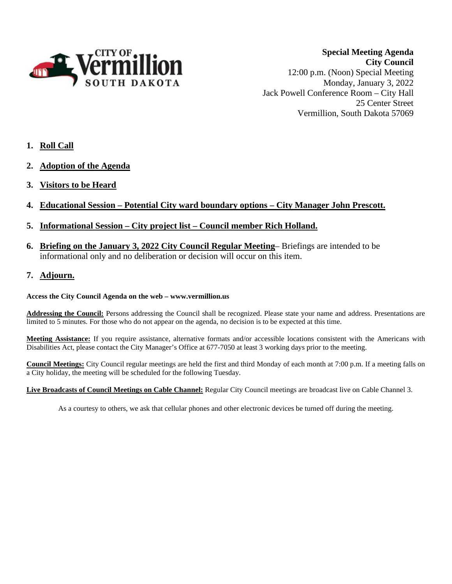

**Special Meeting Agenda City Council** 12:00 p.m. (Noon) Special Meeting Monday, January 3, 2022 Jack Powell Conference Room – City Hall 25 Center Street Vermillion, South Dakota 57069

- **1. Roll Call**
- **2. Adoption of the Agenda**
- **3. Visitors to be Heard**
- **4. Educational Session – Potential City ward boundary options – City Manager John Prescott.**
- **5. Informational Session – City project list – Council member Rich Holland.**
- **6. Briefing on the January 3, 2022 City Council Regular Meeting** Briefings are intended to be informational only and no deliberation or decision will occur on this item.
- **7. Adjourn.**

## **Access the City Council Agenda on the web – www.vermillion.us**

**Addressing the Council:** Persons addressing the Council shall be recognized. Please state your name and address. Presentations are limited to 5 minutes. For those who do not appear on the agenda, no decision is to be expected at this time.

**Meeting Assistance:** If you require assistance, alternative formats and/or accessible locations consistent with the Americans with Disabilities Act, please contact the City Manager's Office at 677-7050 at least 3 working days prior to the meeting.

**Council Meetings:** City Council regular meetings are held the first and third Monday of each month at 7:00 p.m. If a meeting falls on a City holiday, the meeting will be scheduled for the following Tuesday.

**Live Broadcasts of Council Meetings on Cable Channel:** Regular City Council meetings are broadcast live on Cable Channel 3.

As a courtesy to others, we ask that cellular phones and other electronic devices be turned off during the meeting.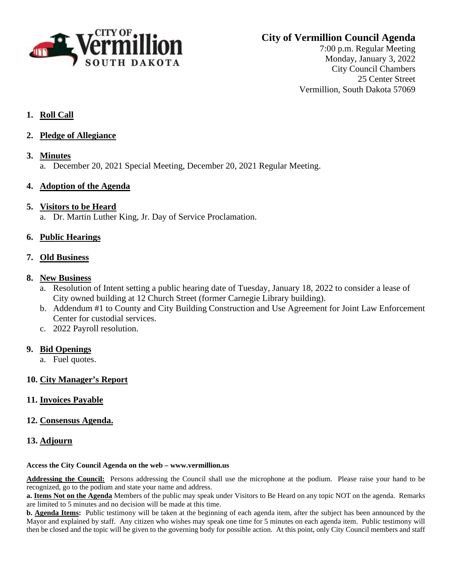

# **City of Vermillion Council Agenda**

7:00 p.m. Regular Meeting Monday, January 3, 2022 City Council Chambers 25 Center Street Vermillion, South Dakota 57069

# **1. Roll Call**

- **2. Pledge of Allegiance**
- **3. Minutes** a. December 20, 2021 Special Meeting, December 20, 2021 Regular Meeting.

## **4. Adoption of the Agenda**

## **5. Visitors to be Heard**

a. Dr. Martin Luther King, Jr. Day of Service Proclamation.

# **6. Public Hearings**

## **7. Old Business**

## **8. New Business**

- a. Resolution of Intent setting a public hearing date of Tuesday, January 18, 2022 to consider a lease of City owned building at 12 Church Street (former Carnegie Library building).
- b. Addendum #1 to County and City Building Construction and Use Agreement for Joint Law Enforcement Center for custodial services.
- c. 2022 Payroll resolution.

# **9. Bid Openings**

a. Fuel quotes.

# **10. City Manager's Report**

## **11. Invoices Payable**

**12. Consensus Agenda.**

# **13. Adjourn**

## **Access the City Council Agenda on the web – www.vermillion.us**

**Addressing the Council:** Persons addressing the Council shall use the microphone at the podium. Please raise your hand to be recognized, go to the podium and state your name and address.

**a. Items Not on the Agenda** Members of the public may speak under Visitors to Be Heard on any topic NOT on the agenda. Remarks are limited to 5 minutes and no decision will be made at this time.

**b. Agenda Items:** Public testimony will be taken at the beginning of each agenda item, after the subject has been announced by the Mayor and explained by staff. Any citizen who wishes may speak one time for 5 minutes on each agenda item. Public testimony will then be closed and the topic will be given to the governing body for possible action. At this point, only City Council members and staff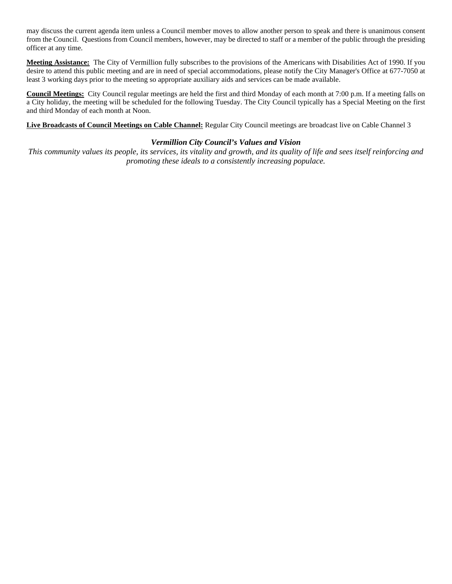may discuss the current agenda item unless a Council member moves to allow another person to speak and there is unanimous consent from the Council. Questions from Council members, however, may be directed to staff or a member of the public through the presiding officer at any time.

**Meeting Assistance:** The City of Vermillion fully subscribes to the provisions of the Americans with Disabilities Act of 1990. If you desire to attend this public meeting and are in need of special accommodations, please notify the City Manager's Office at 677-7050 at least 3 working days prior to the meeting so appropriate auxiliary aids and services can be made available.

**Council Meetings:** City Council regular meetings are held the first and third Monday of each month at 7:00 p.m. If a meeting falls on a City holiday, the meeting will be scheduled for the following Tuesday. The City Council typically has a Special Meeting on the first and third Monday of each month at Noon.

**Live Broadcasts of Council Meetings on Cable Channel:** Regular City Council meetings are broadcast live on Cable Channel 3

## *Vermillion City Council's Values and Vision*

*This community values its people, its services, its vitality and growth, and its quality of life and sees itself reinforcing and promoting these ideals to a consistently increasing populace.*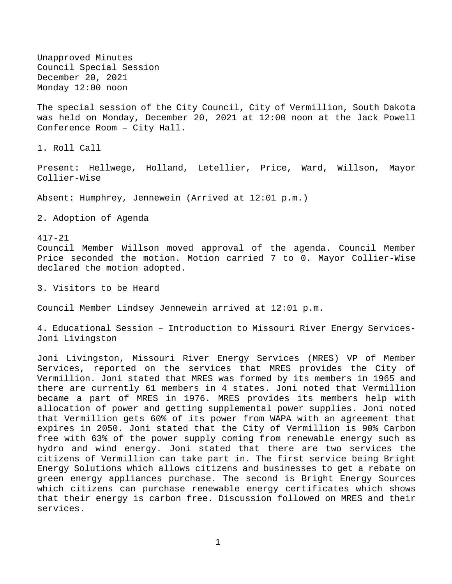Unapproved Minutes Council Special Session December 20, 2021 Monday 12:00 noon

The special session of the City Council, City of Vermillion, South Dakota was held on Monday, December 20, 2021 at 12:00 noon at the Jack Powell Conference Room – City Hall.

1. Roll Call

Present: Hellwege, Holland, Letellier, Price, Ward, Willson, Mayor Collier-Wise

Absent: Humphrey, Jennewein (Arrived at 12:01 p.m.)

2. Adoption of Agenda

417-21 Council Member Willson moved approval of the agenda. Council Member Price seconded the motion. Motion carried 7 to 0. Mayor Collier-Wise declared the motion adopted.

3. Visitors to be Heard

Council Member Lindsey Jennewein arrived at 12:01 p.m.

4. Educational Session – Introduction to Missouri River Energy Services-Joni Livingston

Joni Livingston, Missouri River Energy Services (MRES) VP of Member Services, reported on the services that MRES provides the City of Vermillion. Joni stated that MRES was formed by its members in 1965 and there are currently 61 members in 4 states. Joni noted that Vermillion became a part of MRES in 1976. MRES provides its members help with allocation of power and getting supplemental power supplies. Joni noted that Vermillion gets 60% of its power from WAPA with an agreement that expires in 2050. Joni stated that the City of Vermillion is 90% Carbon free with 63% of the power supply coming from renewable energy such as hydro and wind energy. Joni stated that there are two services the citizens of Vermillion can take part in. The first service being Bright Energy Solutions which allows citizens and businesses to get a rebate on green energy appliances purchase. The second is Bright Energy Sources which citizens can purchase renewable energy certificates which shows that their energy is carbon free. Discussion followed on MRES and their services.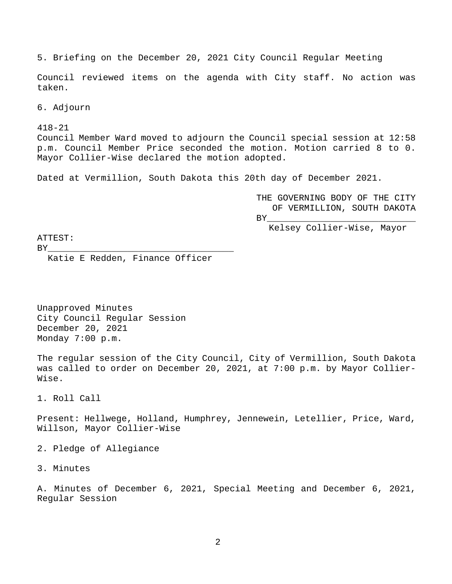5. Briefing on the December 20, 2021 City Council Regular Meeting

Council reviewed items on the agenda with City staff. No action was taken.

6. Adjourn

418-21 Council Member Ward moved to adjourn the Council special session at 12:58 p.m. Council Member Price seconded the motion. Motion carried 8 to 0. Mayor Collier-Wise declared the motion adopted.

Dated at Vermillion, South Dakota this 20th day of December 2021.

THE GOVERNING BODY OF THE CITY OF VERMILLION, SOUTH DAKOTA BY\_\_\_\_\_\_\_\_\_\_\_\_\_\_\_\_\_\_\_\_\_\_\_\_\_\_\_\_

Kelsey Collier-Wise, Mayor

ATTEST:

BY\_\_\_\_\_\_\_\_\_\_\_\_\_\_\_\_\_\_\_\_\_\_\_\_\_\_\_\_\_\_\_\_\_\_\_

Katie E Redden, Finance Officer

Unapproved Minutes City Council Regular Session December 20, 2021 Monday 7:00 p.m.

The regular session of the City Council, City of Vermillion, South Dakota was called to order on December 20, 2021, at 7:00 p.m. by Mayor Collier-Wise.

1. Roll Call

Present: Hellwege, Holland, Humphrey, Jennewein, Letellier, Price, Ward, Willson, Mayor Collier-Wise

2. Pledge of Allegiance

3. Minutes

A. Minutes of December 6, 2021, Special Meeting and December 6, 2021, Regular Session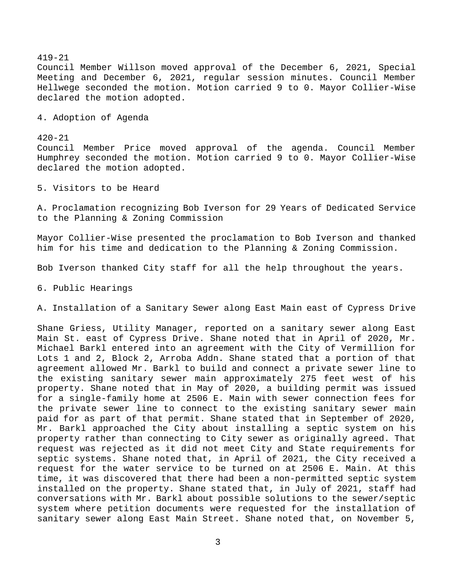419-21 Council Member Willson moved approval of the December 6, 2021, Special Meeting and December 6, 2021, regular session minutes. Council Member Hellwege seconded the motion. Motion carried 9 to 0. Mayor Collier-Wise declared the motion adopted.

4. Adoption of Agenda

420-21 Council Member Price moved approval of the agenda. Council Member Humphrey seconded the motion. Motion carried 9 to 0. Mayor Collier-Wise declared the motion adopted.

5. Visitors to be Heard

A. Proclamation recognizing Bob Iverson for 29 Years of Dedicated Service to the Planning & Zoning Commission

Mayor Collier-Wise presented the proclamation to Bob Iverson and thanked him for his time and dedication to the Planning & Zoning Commission.

Bob Iverson thanked City staff for all the help throughout the years.

6. Public Hearings

A. Installation of a Sanitary Sewer along East Main east of Cypress Drive

Shane Griess, Utility Manager, reported on a sanitary sewer along East Main St. east of Cypress Drive. Shane noted that in April of 2020, Mr. Michael Barkl entered into an agreement with the City of Vermillion for Lots 1 and 2, Block 2, Arroba Addn. Shane stated that a portion of that agreement allowed Mr. Barkl to build and connect a private sewer line to the existing sanitary sewer main approximately 275 feet west of his property. Shane noted that in May of 2020, a building permit was issued for a single-family home at 2506 E. Main with sewer connection fees for the private sewer line to connect to the existing sanitary sewer main paid for as part of that permit. Shane stated that in September of 2020, Mr. Barkl approached the City about installing a septic system on his property rather than connecting to City sewer as originally agreed. That request was rejected as it did not meet City and State requirements for septic systems. Shane noted that, in April of 2021, the City received a request for the water service to be turned on at 2506 E. Main. At this time, it was discovered that there had been a non-permitted septic system installed on the property. Shane stated that, in July of 2021, staff had conversations with Mr. Barkl about possible solutions to the sewer/septic system where petition documents were requested for the installation of sanitary sewer along East Main Street. Shane noted that, on November 5,

3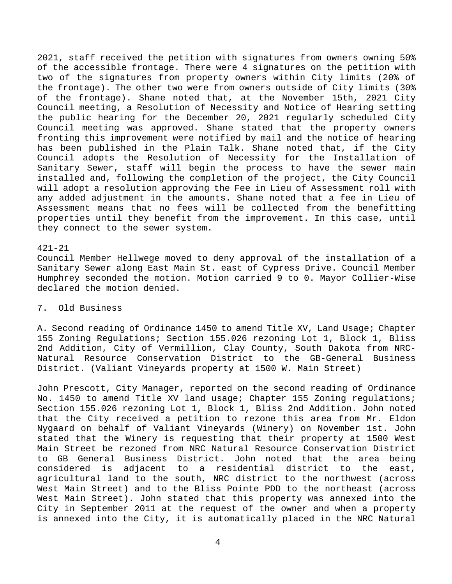2021, staff received the petition with signatures from owners owning 50% of the accessible frontage. There were 4 signatures on the petition with two of the signatures from property owners within City limits (20% of the frontage). The other two were from owners outside of City limits (30% of the frontage). Shane noted that, at the November 15th, 2021 City Council meeting, a Resolution of Necessity and Notice of Hearing setting the public hearing for the December 20, 2021 regularly scheduled City Council meeting was approved. Shane stated that the property owners fronting this improvement were notified by mail and the notice of hearing has been published in the Plain Talk. Shane noted that, if the City Council adopts the Resolution of Necessity for the Installation of Sanitary Sewer, staff will begin the process to have the sewer main installed and, following the completion of the project, the City Council will adopt a resolution approving the Fee in Lieu of Assessment roll with any added adjustment in the amounts. Shane noted that a fee in Lieu of Assessment means that no fees will be collected from the benefitting properties until they benefit from the improvement. In this case, until they connect to the sewer system.

#### 421-21

Council Member Hellwege moved to deny approval of the installation of a Sanitary Sewer along East Main St. east of Cypress Drive. Council Member Humphrey seconded the motion. Motion carried 9 to 0. Mayor Collier-Wise declared the motion denied.

## 7. Old Business

A. Second reading of Ordinance 1450 to amend Title XV, Land Usage; Chapter 155 Zoning Regulations; Section 155.026 rezoning Lot 1, Block 1, Bliss 2nd Addition, City of Vermillion, Clay County, South Dakota from NRC-Natural Resource Conservation District to the GB-General Business District. (Valiant Vineyards property at 1500 W. Main Street)

John Prescott, City Manager, reported on the second reading of Ordinance No. 1450 to amend Title XV land usage; Chapter 155 Zoning regulations; Section 155.026 rezoning Lot 1, Block 1, Bliss 2nd Addition. John noted that the City received a petition to rezone this area from Mr. Eldon Nygaard on behalf of Valiant Vineyards (Winery) on November 1st. John stated that the Winery is requesting that their property at 1500 West Main Street be rezoned from NRC Natural Resource Conservation District to GB General Business District. John noted that the area being considered is adjacent to a residential district to the east, agricultural land to the south, NRC district to the northwest (across West Main Street) and to the Bliss Pointe PDD to the northeast (across West Main Street). John stated that this property was annexed into the City in September 2011 at the request of the owner and when a property is annexed into the City, it is automatically placed in the NRC Natural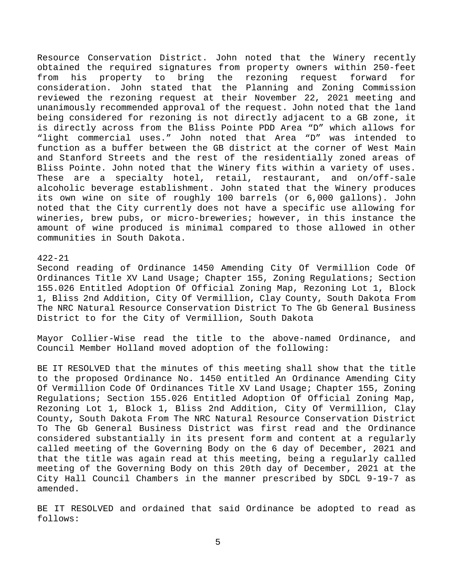Resource Conservation District. John noted that the Winery recently obtained the required signatures from property owners within 250-feet<br>from his property to bring the rezoning request forward for from his property to bring the rezoning request forward for consideration. John stated that the Planning and Zoning Commission reviewed the rezoning request at their November 22, 2021 meeting and unanimously recommended approval of the request. John noted that the land being considered for rezoning is not directly adjacent to a GB zone, it is directly across from the Bliss Pointe PDD Area "D" which allows for "light commercial uses." John noted that Area "D" was intended to function as a buffer between the GB district at the corner of West Main and Stanford Streets and the rest of the residentially zoned areas of Bliss Pointe. John noted that the Winery fits within a variety of uses. These are a specialty hotel, retail, restaurant, and on/off-sale alcoholic beverage establishment. John stated that the Winery produces its own wine on site of roughly 100 barrels (or 6,000 gallons). John noted that the City currently does not have a specific use allowing for wineries, brew pubs, or micro-breweries; however, in this instance the amount of wine produced is minimal compared to those allowed in other communities in South Dakota.

#### 422-21

Second reading of Ordinance 1450 Amending City Of Vermillion Code Of Ordinances Title XV Land Usage; Chapter 155, Zoning Regulations; Section 155.026 Entitled Adoption Of Official Zoning Map, Rezoning Lot 1, Block 1, Bliss 2nd Addition, City Of Vermillion, Clay County, South Dakota From The NRC Natural Resource Conservation District To The Gb General Business District to for the City of Vermillion, South Dakota

Mayor Collier-Wise read the title to the above-named Ordinance, and Council Member Holland moved adoption of the following:

BE IT RESOLVED that the minutes of this meeting shall show that the title to the proposed Ordinance No. 1450 entitled An Ordinance Amending City Of Vermillion Code Of Ordinances Title XV Land Usage; Chapter 155, Zoning Regulations; Section 155.026 Entitled Adoption Of Official Zoning Map, Rezoning Lot 1, Block 1, Bliss 2nd Addition, City Of Vermillion, Clay County, South Dakota From The NRC Natural Resource Conservation District To The Gb General Business District was first read and the Ordinance considered substantially in its present form and content at a regularly called meeting of the Governing Body on the 6 day of December, 2021 and that the title was again read at this meeting, being a regularly called meeting of the Governing Body on this 20th day of December, 2021 at the City Hall Council Chambers in the manner prescribed by SDCL 9-19-7 as amended.

BE IT RESOLVED and ordained that said Ordinance be adopted to read as follows: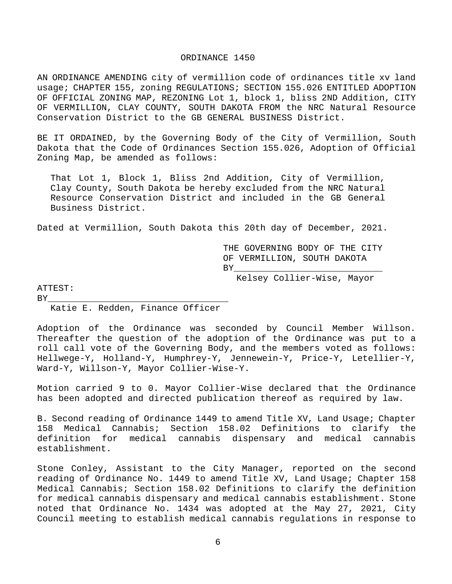#### ORDINANCE 1450

AN ORDINANCE AMENDING city of vermillion code of ordinances title xv land usage; CHAPTER 155, zoning REGULATIONS; SECTION 155.026 ENTITLED ADOPTION OF OFFICIAL ZONING MAP, REZONING Lot 1, block 1, bliss 2ND Addition, CITY OF VERMILLION, CLAY COUNTY, SOUTH DAKOTA FROM the NRC Natural Resource Conservation District to the GB GENERAL BUSINESS District.

BE IT ORDAINED, by the Governing Body of the City of Vermillion, South Dakota that the Code of Ordinances Section 155.026, Adoption of Official Zoning Map, be amended as follows:

That Lot 1, Block 1, Bliss 2nd Addition, City of Vermillion, Clay County, South Dakota be hereby excluded from the NRC Natural Resource Conservation District and included in the GB General Business District.

Dated at Vermillion, South Dakota this 20th day of December, 2021.

THE GOVERNING BODY OF THE CITY OF VERMILLION, SOUTH DAKOTA<br>BY  $\text{BY}$  and  $\text{BY}$  and  $\text{BY}$  are the set of  $\text{BY}$ 

Kelsey Collier-Wise, Mayor

ATTEST:

BY\_\_\_\_\_\_\_\_\_\_\_\_\_\_\_\_\_\_\_\_\_\_\_\_\_\_\_\_\_\_\_\_\_\_ Katie E. Redden, Finance Officer

Adoption of the Ordinance was seconded by Council Member Willson. Thereafter the question of the adoption of the Ordinance was put to a roll call vote of the Governing Body, and the members voted as follows: Hellwege-Y, Holland-Y, Humphrey-Y, Jennewein-Y, Price-Y, Letellier-Y, Ward-Y, Willson-Y, Mayor Collier-Wise-Y.

Motion carried 9 to 0. Mayor Collier-Wise declared that the Ordinance has been adopted and directed publication thereof as required by law.

B. Second reading of Ordinance 1449 to amend Title XV, Land Usage; Chapter 158 Medical Cannabis; Section 158.02 Definitions to clarify the definition for medical cannabis dispensary and medical cannabis establishment.

Stone Conley, Assistant to the City Manager, reported on the second reading of Ordinance No. 1449 to amend Title XV, Land Usage; Chapter 158 Medical Cannabis; Section 158.02 Definitions to clarify the definition for medical cannabis dispensary and medical cannabis establishment. Stone noted that Ordinance No. 1434 was adopted at the May 27, 2021, City Council meeting to establish medical cannabis regulations in response to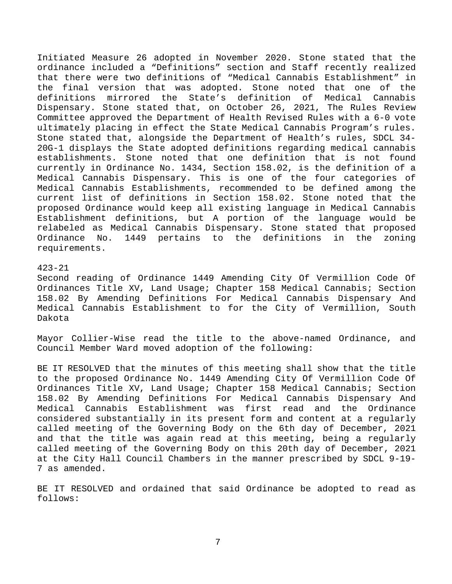Initiated Measure 26 adopted in November 2020. Stone stated that the ordinance included a "Definitions" section and Staff recently realized that there were two definitions of "Medical Cannabis Establishment" in the final version that was adopted. Stone noted that one of the<br>definitions mirrored the State's definition of Medical Cannabis definitions mirrored the State's definition of Dispensary. Stone stated that, on October 26, 2021, The Rules Review Committee approved the Department of Health Revised Rules with a 6-0 vote ultimately placing in effect the State Medical Cannabis Program's rules. Stone stated that, alongside the Department of Health's rules, SDCL 34- 20G-1 displays the State adopted definitions regarding medical cannabis establishments. Stone noted that one definition that is not found currently in Ordinance No. 1434, Section 158.02, is the definition of a Medical Cannabis Dispensary. This is one of the four categories of Medical Cannabis Establishments, recommended to be defined among the current list of definitions in Section 158.02. Stone noted that the proposed Ordinance would keep all existing language in Medical Cannabis Establishment definitions, but A portion of the language would be relabeled as Medical Cannabis Dispensary. Stone stated that proposed<br>Ordinance No. 1449 pertains to the definitions in the zoning 1449 pertains to the definitions in the zoning requirements.

#### 423-21

Second reading of Ordinance 1449 Amending City Of Vermillion Code Of Ordinances Title XV, Land Usage; Chapter 158 Medical Cannabis; Section 158.02 By Amending Definitions For Medical Cannabis Dispensary And Medical Cannabis Establishment to for the City of Vermillion, South Dakota

Mayor Collier-Wise read the title to the above-named Ordinance, and Council Member Ward moved adoption of the following:

BE IT RESOLVED that the minutes of this meeting shall show that the title to the proposed Ordinance No. 1449 Amending City Of Vermillion Code Of Ordinances Title XV, Land Usage; Chapter 158 Medical Cannabis; Section 158.02 By Amending Definitions For Medical Cannabis Dispensary And Medical Cannabis Establishment was first read and the Ordinance considered substantially in its present form and content at a regularly called meeting of the Governing Body on the 6th day of December, 2021 and that the title was again read at this meeting, being a regularly called meeting of the Governing Body on this 20th day of December, 2021 at the City Hall Council Chambers in the manner prescribed by SDCL 9-19- 7 as amended.

BE IT RESOLVED and ordained that said Ordinance be adopted to read as follows: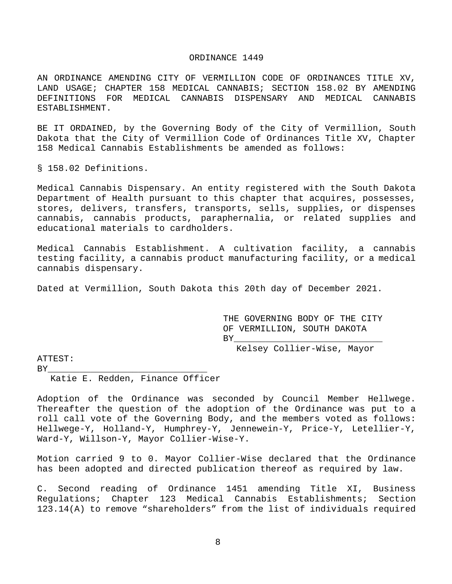#### ORDINANCE 1449

AN ORDINANCE AMENDING CITY OF VERMILLION CODE OF ORDINANCES TITLE XV, LAND USAGE; CHAPTER 158 MEDICAL CANNABIS; SECTION 158.02 BY AMENDING DEFINITIONS FOR MEDICAL CANNABIS DISPENSARY AND MEDICAL CANNABIS ESTABLISHMENT.

BE IT ORDAINED, by the Governing Body of the City of Vermillion, South Dakota that the City of Vermillion Code of Ordinances Title XV, Chapter 158 Medical Cannabis Establishments be amended as follows:

§ 158.02 Definitions.

Medical Cannabis Dispensary. An entity registered with the South Dakota Department of Health pursuant to this chapter that acquires, possesses, stores, delivers, transfers, transports, sells, supplies, or dispenses cannabis, cannabis products, paraphernalia, or related supplies and educational materials to cardholders.

Medical Cannabis Establishment. A cultivation facility, a cannabis testing facility, a cannabis product manufacturing facility, or a medical cannabis dispensary.

Dated at Vermillion, South Dakota this 20th day of December 2021.

THE GOVERNING BODY OF THE CITY OF VERMILLION, SOUTH DAKOTA BY\_\_\_\_\_\_\_\_\_\_\_\_\_\_\_\_\_\_\_\_\_\_\_\_\_\_\_\_

Kelsey Collier-Wise, Mayor

ATTEST:

BY\_\_\_\_\_\_\_\_\_\_\_\_\_\_\_\_\_\_\_\_\_\_\_\_\_\_\_\_\_\_

Katie E. Redden, Finance Officer

Adoption of the Ordinance was seconded by Council Member Hellwege. Thereafter the question of the adoption of the Ordinance was put to a roll call vote of the Governing Body, and the members voted as follows: Hellwege-Y, Holland-Y, Humphrey-Y, Jennewein-Y, Price-Y, Letellier-Y, Ward-Y, Willson-Y, Mayor Collier-Wise-Y.

Motion carried 9 to 0. Mayor Collier-Wise declared that the Ordinance has been adopted and directed publication thereof as required by law.

C. Second reading of Ordinance 1451 amending Title XI, Business<br>Regulations; Chapter 123 Medical Cannabis Establishments; Section Regulations; Chapter 123 Medical Cannabis Establishments; 123.14(A) to remove "shareholders" from the list of individuals required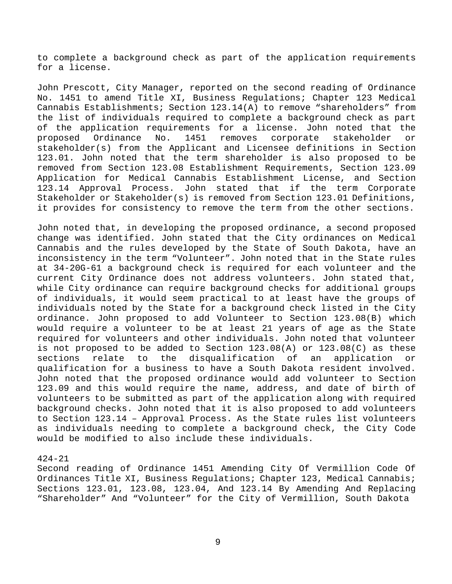to complete a background check as part of the application requirements for a license.

John Prescott, City Manager, reported on the second reading of Ordinance No. 1451 to amend Title XI, Business Regulations; Chapter 123 Medical Cannabis Establishments; Section 123.14(A) to remove "shareholders" from the list of individuals required to complete a background check as part of the application requirements for a license. John noted that the<br>proposed Ordinance No. 1451 removes corporate stakeholder or corporate stakeholder or stakeholder(s) from the Applicant and Licensee definitions in Section 123.01. John noted that the term shareholder is also proposed to be removed from Section 123.08 Establishment Requirements, Section 123.09 Application for Medical Cannabis Establishment License, and Section<br>123.14 Approval Process. John stated that if the term Corporate John stated that if the term Corporate Stakeholder or Stakeholder(s) is removed from Section 123.01 Definitions, it provides for consistency to remove the term from the other sections.

John noted that, in developing the proposed ordinance, a second proposed change was identified. John stated that the City ordinances on Medical Cannabis and the rules developed by the State of South Dakota, have an inconsistency in the term "Volunteer". John noted that in the State rules at 34-20G-61 a background check is required for each volunteer and the current City Ordinance does not address volunteers. John stated that, while City ordinance can require background checks for additional groups of individuals, it would seem practical to at least have the groups of individuals noted by the State for a background check listed in the City ordinance. John proposed to add Volunteer to Section 123.08(B) which would require a volunteer to be at least 21 years of age as the State required for volunteers and other individuals. John noted that volunteer is not proposed to be added to Section 123.08(A) or 123.08(C) as these<br>sections relate to the disqualification of an application or sections relate to the disqualification of an application or qualification for a business to have a South Dakota resident involved. John noted that the proposed ordinance would add volunteer to Section 123.09 and this would require the name, address, and date of birth of volunteers to be submitted as part of the application along with required background checks. John noted that it is also proposed to add volunteers to Section 123.14 – Approval Process. As the State rules list volunteers as individuals needing to complete a background check, the City Code would be modified to also include these individuals.

### 424-21

Second reading of Ordinance 1451 Amending City Of Vermillion Code Of Ordinances Title XI, Business Regulations; Chapter 123, Medical Cannabis; Sections 123.01, 123.08, 123.04, And 123.14 By Amending And Replacing "Shareholder" And "Volunteer" for the City of Vermillion, South Dakota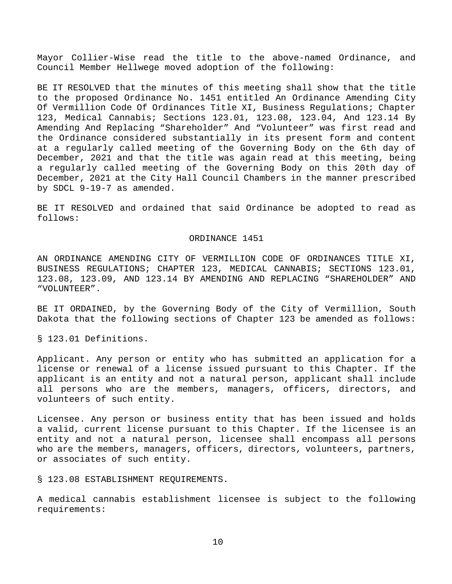Mayor Collier-Wise read the title to the above-named Ordinance, and Council Member Hellwege moved adoption of the following:

BE IT RESOLVED that the minutes of this meeting shall show that the title to the proposed Ordinance No. 1451 entitled An Ordinance Amending City Of Vermillion Code Of Ordinances Title XI, Business Regulations; Chapter 123, Medical Cannabis; Sections 123.01, 123.08, 123.04, And 123.14 By Amending And Replacing "Shareholder" And "Volunteer" was first read and the Ordinance considered substantially in its present form and content at a regularly called meeting of the Governing Body on the 6th day of December, 2021 and that the title was again read at this meeting, being a regularly called meeting of the Governing Body on this 20th day of December, 2021 at the City Hall Council Chambers in the manner prescribed by SDCL 9-19-7 as amended.

BE IT RESOLVED and ordained that said Ordinance be adopted to read as follows:

#### ORDINANCE 1451

AN ORDINANCE AMENDING CITY OF VERMILLION CODE OF ORDINANCES TITLE XI, BUSINESS REGULATIONS; CHAPTER 123, MEDICAL CANNABIS; SECTIONS 123.01, 123.08, 123.09, AND 123.14 BY AMENDING AND REPLACING "SHAREHOLDER" AND "VOLUNTEER".

BE IT ORDAINED, by the Governing Body of the City of Vermillion, South Dakota that the following sections of Chapter 123 be amended as follows:

§ 123.01 Definitions.

Applicant. Any person or entity who has submitted an application for a license or renewal of a license issued pursuant to this Chapter. If the applicant is an entity and not a natural person, applicant shall include all persons who are the members, managers, officers, directors, and volunteers of such entity.

Licensee. Any person or business entity that has been issued and holds a valid, current license pursuant to this Chapter. If the licensee is an entity and not a natural person, licensee shall encompass all persons who are the members, managers, officers, directors, volunteers, partners, or associates of such entity.

§ 123.08 ESTABLISHMENT REQUIREMENTS.

A medical cannabis establishment licensee is subject to the following requirements: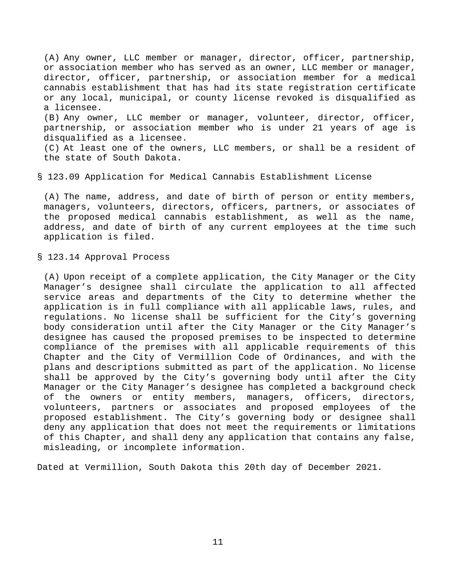(A) Any owner, LLC member or manager, director, officer, partnership, or association member who has served as an owner, LLC member or manager, director, officer, partnership, or association member for a medical cannabis establishment that has had its state registration certificate or any local, municipal, or county license revoked is disqualified as a licensee. (B) Any owner, LLC member or manager, volunteer, director, officer, partnership, or association member who is under 21 years of age is disqualified as a licensee.

(C) At least one of the owners, LLC members, or shall be a resident of the state of South Dakota.

#### § 123.09 Application for Medical Cannabis Establishment License

(A) The name, address, and date of birth of person or entity members, managers, volunteers, directors, officers, partners, or associates of the proposed medical cannabis establishment, as well as the name, address, and date of birth of any current employees at the time such application is filed.

§ 123.14 Approval Process

(A) Upon receipt of a complete application, the City Manager or the City Manager's designee shall circulate the application to all affected service areas and departments of the City to determine whether the application is in full compliance with all applicable laws, rules, and regulations. No license shall be sufficient for the City's governing body consideration until after the City Manager or the City Manager's designee has caused the proposed premises to be inspected to determine compliance of the premises with all applicable requirements of this Chapter and the City of Vermillion Code of Ordinances, and with the plans and descriptions submitted as part of the application. No license shall be approved by the City's governing body until after the City Manager or the City Manager's designee has completed a background check of the owners or entity members, managers, officers, directors, volunteers, partners or associates and proposed employees of the proposed establishment. The City's governing body or designee shall deny any application that does not meet the requirements or limitations of this Chapter, and shall deny any application that contains any false, misleading, or incomplete information.

Dated at Vermillion, South Dakota this 20th day of December 2021.

11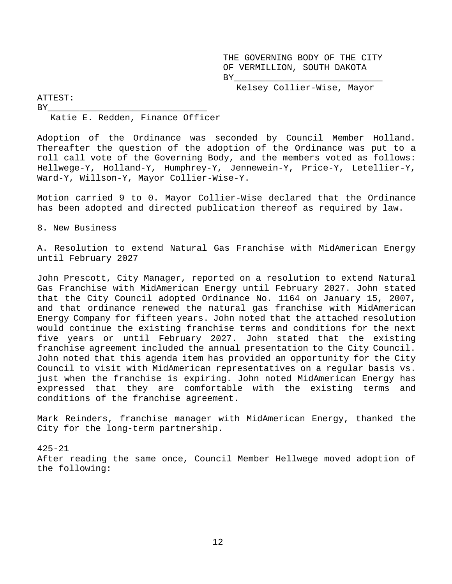THE GOVERNING BODY OF THE CITY OF VERMILLION, SOUTH DAKOTA BY\_\_\_\_\_\_\_\_\_\_\_\_\_\_\_\_\_\_\_\_\_\_\_\_\_\_\_\_

Kelsey Collier-Wise, Mayor

ATTEST:

BY\_\_\_\_\_\_\_\_\_\_\_\_\_\_\_\_\_\_\_\_\_\_\_\_\_\_\_\_\_\_ Katie E. Redden, Finance Officer

Adoption of the Ordinance was seconded by Council Member Holland. Thereafter the question of the adoption of the Ordinance was put to a roll call vote of the Governing Body, and the members voted as follows: Hellwege-Y, Holland-Y, Humphrey-Y, Jennewein-Y, Price-Y, Letellier-Y, Ward-Y, Willson-Y, Mayor Collier-Wise-Y.

Motion carried 9 to 0. Mayor Collier-Wise declared that the Ordinance has been adopted and directed publication thereof as required by law.

8. New Business

A. Resolution to extend Natural Gas Franchise with MidAmerican Energy until February 2027

John Prescott, City Manager, reported on a resolution to extend Natural Gas Franchise with MidAmerican Energy until February 2027. John stated that the City Council adopted Ordinance No. 1164 on January 15, 2007, and that ordinance renewed the natural gas franchise with MidAmerican Energy Company for fifteen years. John noted that the attached resolution would continue the existing franchise terms and conditions for the next five years or until February 2027. John stated that the existing franchise agreement included the annual presentation to the City Council. John noted that this agenda item has provided an opportunity for the City Council to visit with MidAmerican representatives on a regular basis vs. just when the franchise is expiring. John noted MidAmerican Energy has expressed that they are comfortable with the existing terms and conditions of the franchise agreement.

Mark Reinders, franchise manager with MidAmerican Energy, thanked the City for the long-term partnership.

425-21 After reading the same once, Council Member Hellwege moved adoption of the following: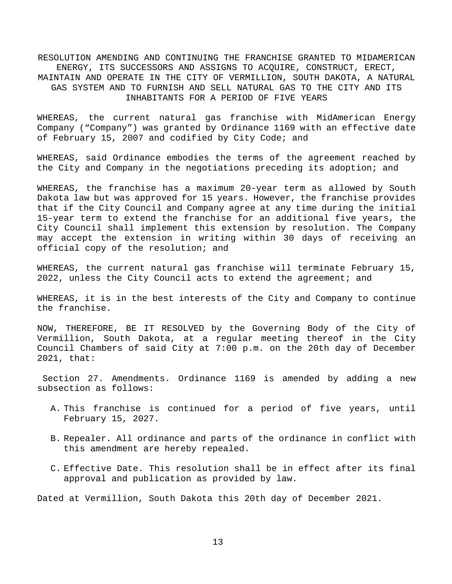RESOLUTION AMENDING AND CONTINUING THE FRANCHISE GRANTED TO MIDAMERICAN ENERGY, ITS SUCCESSORS AND ASSIGNS TO ACQUIRE, CONSTRUCT, ERECT, MAINTAIN AND OPERATE IN THE CITY OF VERMILLION, SOUTH DAKOTA, A NATURAL GAS SYSTEM AND TO FURNISH AND SELL NATURAL GAS TO THE CITY AND ITS INHABITANTS FOR A PERIOD OF FIVE YEARS

WHEREAS, the current natural gas franchise with MidAmerican Energy Company ("Company") was granted by Ordinance 1169 with an effective date of February 15, 2007 and codified by City Code; and

WHEREAS, said Ordinance embodies the terms of the agreement reached by the City and Company in the negotiations preceding its adoption; and

WHEREAS, the franchise has a maximum 20-year term as allowed by South Dakota law but was approved for 15 years. However, the franchise provides that if the City Council and Company agree at any time during the initial 15-year term to extend the franchise for an additional five years, the City Council shall implement this extension by resolution. The Company may accept the extension in writing within 30 days of receiving an official copy of the resolution; and

WHEREAS, the current natural gas franchise will terminate February 15, 2022, unless the City Council acts to extend the agreement; and

WHEREAS, it is in the best interests of the City and Company to continue the franchise.

NOW, THEREFORE, BE IT RESOLVED by the Governing Body of the City of Vermillion, South Dakota, at a regular meeting thereof in the City Council Chambers of said City at 7:00 p.m. on the 20th day of December 2021, that:

Section 27. Amendments. Ordinance 1169 is amended by adding a new subsection as follows:

- A. This franchise is continued for a period of five years, until February 15, 2027.
- B. Repealer. All ordinance and parts of the ordinance in conflict with this amendment are hereby repealed.
- C. Effective Date. This resolution shall be in effect after its final approval and publication as provided by law.

Dated at Vermillion, South Dakota this 20th day of December 2021.

13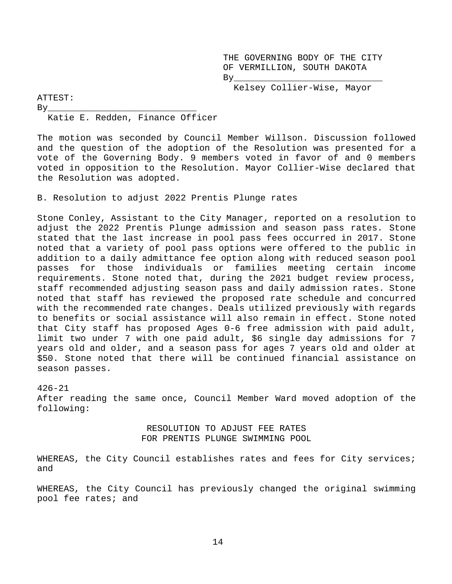THE GOVERNING BODY OF THE CITY OF VERMILLION, SOUTH DAKOTA By\_\_\_\_\_\_\_\_\_\_\_\_\_\_\_\_\_\_\_\_\_\_\_\_\_\_\_\_

Kelsey Collier-Wise, Mayor

ATTEST:

By\_\_\_\_\_\_\_\_\_\_\_\_\_\_\_\_\_\_\_\_\_\_\_\_\_\_\_\_ Katie E. Redden, Finance Officer

The motion was seconded by Council Member Willson. Discussion followed and the question of the adoption of the Resolution was presented for a vote of the Governing Body. 9 members voted in favor of and 0 members voted in opposition to the Resolution. Mayor Collier-Wise declared that the Resolution was adopted.

B. Resolution to adjust 2022 Prentis Plunge rates

Stone Conley, Assistant to the City Manager, reported on a resolution to adjust the 2022 Prentis Plunge admission and season pass rates. Stone stated that the last increase in pool pass fees occurred in 2017. Stone noted that a variety of pool pass options were offered to the public in addition to a daily admittance fee option along with reduced season pool passes for those individuals or families meeting certain income requirements. Stone noted that, during the 2021 budget review process, staff recommended adjusting season pass and daily admission rates. Stone noted that staff has reviewed the proposed rate schedule and concurred with the recommended rate changes. Deals utilized previously with regards to benefits or social assistance will also remain in effect. Stone noted that City staff has proposed Ages 0-6 free admission with paid adult, limit two under 7 with one paid adult, \$6 single day admissions for 7 years old and older, and a season pass for ages 7 years old and older at \$50. Stone noted that there will be continued financial assistance on season passes.

426-21 After reading the same once, Council Member Ward moved adoption of the following:

### RESOLUTION TO ADJUST FEE RATES FOR PRENTIS PLUNGE SWIMMING POOL

WHEREAS, the City Council establishes rates and fees for City services; and

WHEREAS, the City Council has previously changed the original swimming pool fee rates; and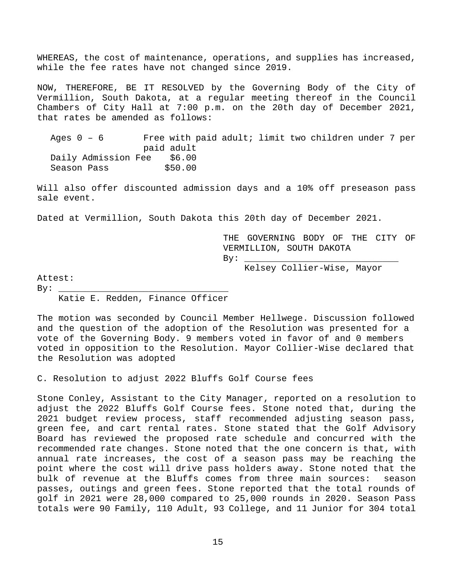WHEREAS, the cost of maintenance, operations, and supplies has increased, while the fee rates have not changed since 2019.

NOW, THEREFORE, BE IT RESOLVED by the Governing Body of the City of Vermillion, South Dakota, at a regular meeting thereof in the Council Chambers of City Hall at 7:00 p.m. on the 20th day of December 2021, that rates be amended as follows:

Ages 0 – 6 Free with paid adult; limit two children under 7 per paid adult Daily Admission Fee \$6.00 Season Pass \$50.00

Will also offer discounted admission days and a 10% off preseason pass sale event.

Dated at Vermillion, South Dakota this 20th day of December 2021.

THE GOVERNING BODY OF THE CITY OF VERMILLION, SOUTH DAKOTA By: \_\_\_\_\_\_\_\_\_\_\_\_\_\_\_\_\_\_\_\_\_\_\_\_\_\_\_\_\_

Kelsey Collier-Wise, Mayor

Attest:

By: \_\_\_\_\_\_\_\_\_\_\_\_\_\_\_\_\_\_\_\_\_\_\_\_\_\_\_\_\_\_\_\_

Katie E. Redden, Finance Officer

The motion was seconded by Council Member Hellwege. Discussion followed and the question of the adoption of the Resolution was presented for a vote of the Governing Body. 9 members voted in favor of and 0 members voted in opposition to the Resolution. Mayor Collier-Wise declared that the Resolution was adopted

C. Resolution to adjust 2022 Bluffs Golf Course fees

Stone Conley, Assistant to the City Manager, reported on a resolution to adjust the 2022 Bluffs Golf Course fees. Stone noted that, during the 2021 budget review process, staff recommended adjusting season pass, green fee, and cart rental rates. Stone stated that the Golf Advisory Board has reviewed the proposed rate schedule and concurred with the recommended rate changes. Stone noted that the one concern is that, with annual rate increases, the cost of a season pass may be reaching the point where the cost will drive pass holders away. Stone noted that the bulk of revenue at the Bluffs comes from three main sources: season passes, outings and green fees. Stone reported that the total rounds of golf in 2021 were 28,000 compared to 25,000 rounds in 2020. Season Pass totals were 90 Family, 110 Adult, 93 College, and 11 Junior for 304 total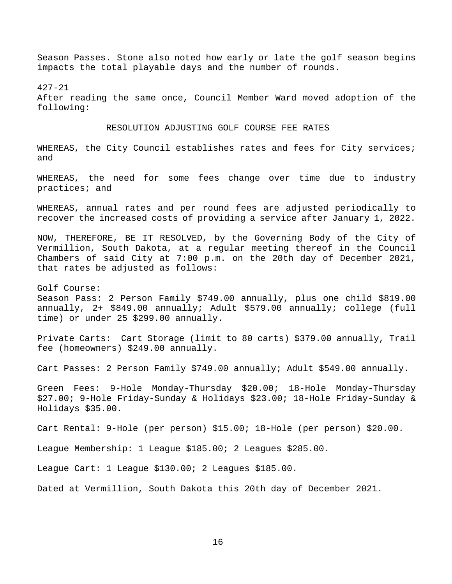Season Passes. Stone also noted how early or late the golf season begins impacts the total playable days and the number of rounds.

427-21 After reading the same once, Council Member Ward moved adoption of the following:

#### RESOLUTION ADJUSTING GOLF COURSE FEE RATES

WHEREAS, the City Council establishes rates and fees for City services; and

WHEREAS, the need for some fees change over time due to industry practices; and

WHEREAS, annual rates and per round fees are adjusted periodically to recover the increased costs of providing a service after January 1, 2022.

NOW, THEREFORE, BE IT RESOLVED, by the Governing Body of the City of Vermillion, South Dakota, at a regular meeting thereof in the Council Chambers of said City at 7:00 p.m. on the 20th day of December 2021, that rates be adjusted as follows:

Golf Course: Season Pass: 2 Person Family \$749.00 annually, plus one child \$819.00 annually, 2+ \$849.00 annually; Adult \$579.00 annually; college (full time) or under 25 \$299.00 annually.

Private Carts: Cart Storage (limit to 80 carts) \$379.00 annually, Trail fee (homeowners) \$249.00 annually.

Cart Passes: 2 Person Family \$749.00 annually; Adult \$549.00 annually.

Green Fees: 9-Hole Monday-Thursday \$20.00; 18-Hole Monday-Thursday \$27.00; 9-Hole Friday-Sunday & Holidays \$23.00; 18-Hole Friday-Sunday & Holidays \$35.00.

Cart Rental: 9-Hole (per person) \$15.00; 18-Hole (per person) \$20.00.

League Membership: 1 League \$185.00; 2 Leagues \$285.00.

League Cart: 1 League \$130.00; 2 Leagues \$185.00.

Dated at Vermillion, South Dakota this 20th day of December 2021.

16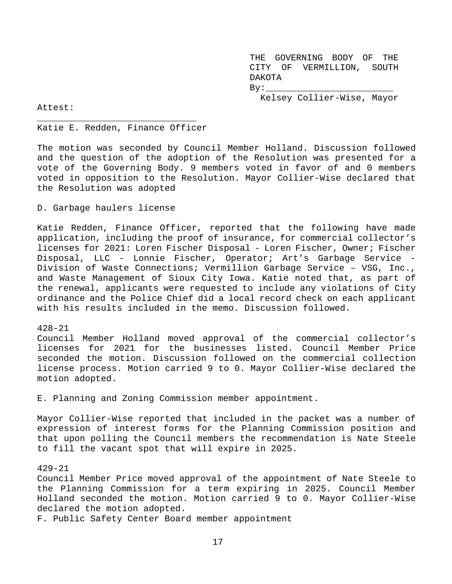THE GOVERNING BODY OF THE CITY OF VERMILLION, SOUTH DAKOTA  $By:$ Kelsey Collier-Wise, Mayor

Attest:

#### \_\_\_\_\_\_\_\_\_\_\_\_\_\_\_\_\_\_\_\_\_\_\_\_\_\_\_\_\_\_ Katie E. Redden, Finance Officer

The motion was seconded by Council Member Holland. Discussion followed and the question of the adoption of the Resolution was presented for a vote of the Governing Body. 9 members voted in favor of and 0 members voted in opposition to the Resolution. Mayor Collier-Wise declared that the Resolution was adopted

D. Garbage haulers license

Katie Redden, Finance Officer, reported that the following have made application, including the proof of insurance, for commercial collector's licenses for 2021: Loren Fischer Disposal - Loren Fischer, Owner; Fischer Disposal, LLC - Lonnie Fischer, Operator; Art's Garbage Service - Division of Waste Connections; Vermillion Garbage Service – VSG, Inc., and Waste Management of Sioux City Iowa. Katie noted that, as part of the renewal, applicants were requested to include any violations of City ordinance and the Police Chief did a local record check on each applicant with his results included in the memo. Discussion followed.

#### 428-21

Council Member Holland moved approval of the commercial collector's licenses for 2021 for the businesses listed. Council Member Price seconded the motion. Discussion followed on the commercial collection license process. Motion carried 9 to 0. Mayor Collier-Wise declared the motion adopted.

E. Planning and Zoning Commission member appointment.

Mayor Collier-Wise reported that included in the packet was a number of expression of interest forms for the Planning Commission position and that upon polling the Council members the recommendation is Nate Steele to fill the vacant spot that will expire in 2025.

#### 429-21

Council Member Price moved approval of the appointment of Nate Steele to the Planning Commission for a term expiring in 2025. Council Member Holland seconded the motion. Motion carried 9 to 0. Mayor Collier-Wise declared the motion adopted.

F. Public Safety Center Board member appointment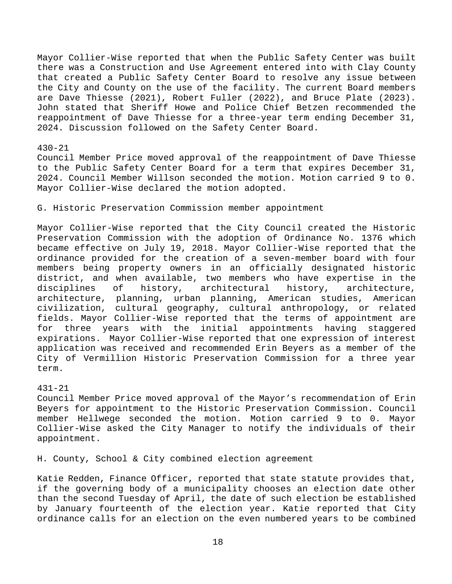Mayor Collier-Wise reported that when the Public Safety Center was built there was a Construction and Use Agreement entered into with Clay County that created a Public Safety Center Board to resolve any issue between the City and County on the use of the facility. The current Board members are Dave Thiesse (2021), Robert Fuller (2022), and Bruce Plate (2023). John stated that Sheriff Howe and Police Chief Betzen recommended the reappointment of Dave Thiesse for a three-year term ending December 31, 2024. Discussion followed on the Safety Center Board.

## 430-21

Council Member Price moved approval of the reappointment of Dave Thiesse to the Public Safety Center Board for a term that expires December 31, 2024. Council Member Willson seconded the motion. Motion carried 9 to 0. Mayor Collier-Wise declared the motion adopted.

G. Historic Preservation Commission member appointment

Mayor Collier-Wise reported that the City Council created the Historic Preservation Commission with the adoption of Ordinance No. 1376 which became effective on July 19, 2018. Mayor Collier-Wise reported that the ordinance provided for the creation of a seven-member board with four members being property owners in an officially designated historic district, and when available, two members who have expertise in the disciplines of history, architecture, architectural architecture, planning, urban planning, American studies, American civilization, cultural geography, cultural anthropology, or related fields. Mayor Collier-Wise reported that the terms of appointment are for three years with the initial appointments having staggered expirations. Mayor Collier-Wise reported that one expression of interest application was received and recommended Erin Beyers as a member of the City of Vermillion Historic Preservation Commission for a three year term.

#### 431-21

Council Member Price moved approval of the Mayor's recommendation of Erin Beyers for appointment to the Historic Preservation Commission. Council member Hellwege seconded the motion. Motion carried 9 to 0. Mayor Collier-Wise asked the City Manager to notify the individuals of their appointment.

H. County, School & City combined election agreement

Katie Redden, Finance Officer, reported that state statute provides that, if the governing body of a municipality chooses an election date other than the second Tuesday of April, the date of such election be established by January fourteenth of the election year. Katie reported that City ordinance calls for an election on the even numbered years to be combined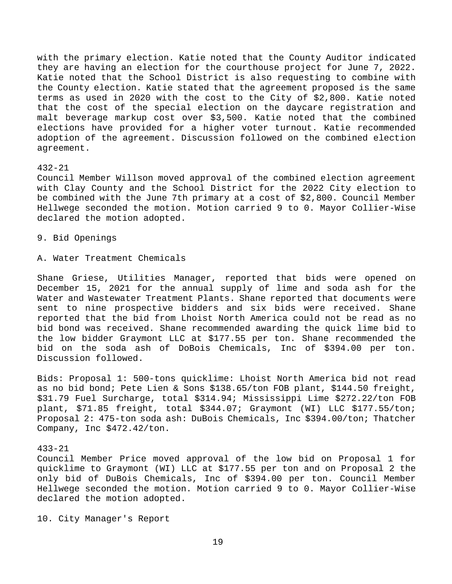with the primary election. Katie noted that the County Auditor indicated they are having an election for the courthouse project for June 7, 2022. Katie noted that the School District is also requesting to combine with the County election. Katie stated that the agreement proposed is the same terms as used in 2020 with the cost to the City of \$2,800. Katie noted that the cost of the special election on the daycare registration and malt beverage markup cost over \$3,500. Katie noted that the combined elections have provided for a higher voter turnout. Katie recommended adoption of the agreement. Discussion followed on the combined election agreement.

#### 432-21

Council Member Willson moved approval of the combined election agreement with Clay County and the School District for the 2022 City election to be combined with the June 7th primary at a cost of \$2,800. Council Member Hellwege seconded the motion. Motion carried 9 to 0. Mayor Collier-Wise declared the motion adopted.

9. Bid Openings

A. Water Treatment Chemicals

Shane Griese, Utilities Manager, reported that bids were opened on December 15, 2021 for the annual supply of lime and soda ash for the Water and Wastewater Treatment Plants. Shane reported that documents were sent to nine prospective bidders and six bids were received. Shane reported that the bid from Lhoist North America could not be read as no bid bond was received. Shane recommended awarding the quick lime bid to the low bidder Graymont LLC at \$177.55 per ton. Shane recommended the bid on the soda ash of DoBois Chemicals, Inc of \$394.00 per ton. Discussion followed.

Bids: Proposal 1: 500-tons quicklime: Lhoist North America bid not read as no bid bond; Pete Lien & Sons \$138.65/ton FOB plant, \$144.50 freight, \$31.79 Fuel Surcharge, total \$314.94; Mississippi Lime \$272.22/ton FOB plant, \$71.85 freight, total \$344.07; Graymont (WI) LLC \$177.55/ton; Proposal 2: 475-ton soda ash: DuBois Chemicals, Inc \$394.00/ton; Thatcher Company, Inc \$472.42/ton.

#### 433-21

Council Member Price moved approval of the low bid on Proposal 1 for quicklime to Graymont (WI) LLC at \$177.55 per ton and on Proposal 2 the only bid of DuBois Chemicals, Inc of \$394.00 per ton. Council Member Hellwege seconded the motion. Motion carried 9 to 0. Mayor Collier-Wise declared the motion adopted.

10. City Manager's Report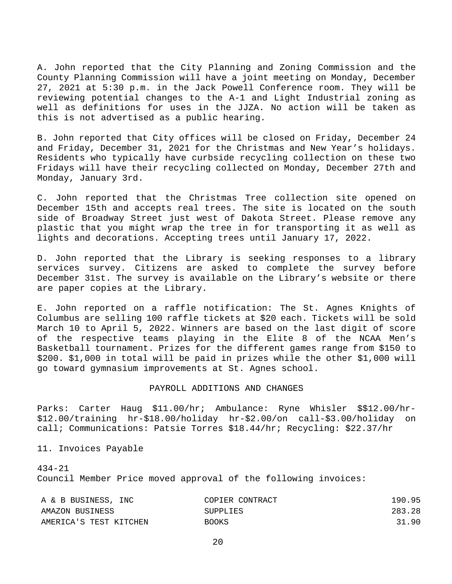A. John reported that the City Planning and Zoning Commission and the County Planning Commission will have a joint meeting on Monday, December 27, 2021 at 5:30 p.m. in the Jack Powell Conference room. They will be reviewing potential changes to the A-1 and Light Industrial zoning as well as definitions for uses in the JJZA. No action will be taken as this is not advertised as a public hearing.

B. John reported that City offices will be closed on Friday, December 24 and Friday, December 31, 2021 for the Christmas and New Year's holidays. Residents who typically have curbside recycling collection on these two Fridays will have their recycling collected on Monday, December 27th and Monday, January 3rd.

C. John reported that the Christmas Tree collection site opened on December 15th and accepts real trees. The site is located on the south side of Broadway Street just west of Dakota Street. Please remove any plastic that you might wrap the tree in for transporting it as well as lights and decorations. Accepting trees until January 17, 2022.

D. John reported that the Library is seeking responses to a library services survey. Citizens are asked to complete the survey before December 31st. The survey is available on the Library's website or there are paper copies at the Library.

E. John reported on a raffle notification: The St. Agnes Knights of Columbus are selling 100 raffle tickets at \$20 each. Tickets will be sold March 10 to April 5, 2022. Winners are based on the last digit of score of the respective teams playing in the Elite 8 of the NCAA Men's Basketball tournament. Prizes for the different games range from \$150 to \$200. \$1,000 in total will be paid in prizes while the other \$1,000 will go toward gymnasium improvements at St. Agnes school.

#### PAYROLL ADDITIONS AND CHANGES

Parks: Carter Haug \$11.00/hr; Ambulance: Ryne Whisler \$\$12.00/hr- \$12.00/training hr-\$18.00/holiday hr-\$2.00/on call-\$3.00/holiday on call; Communications: Patsie Torres \$18.44/hr; Recycling: \$22.37/hr

11. Invoices Payable

434-21 Council Member Price moved approval of the following invoices:

| A & B BUSINESS, INC    | COPIER CONTRACT | 190.95 |
|------------------------|-----------------|--------|
| AMAZON BUSINESS        | SUPPLIES        | 283.28 |
| AMERICA'S TEST KITCHEN | <b>BOOKS</b>    | 31.90  |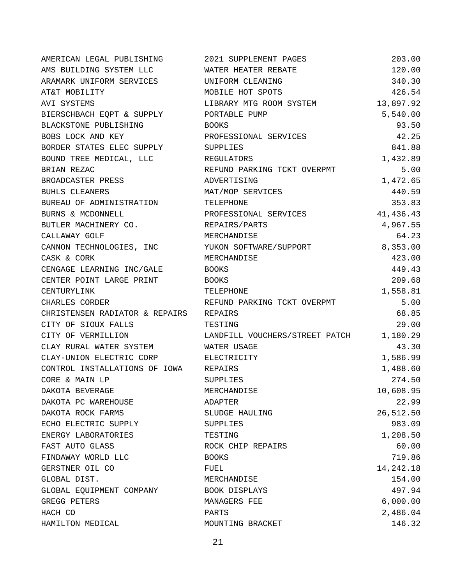| AMERICAN LEGAL PUBLISHING      | 2021 SUPPLEMENT PAGES                   | 203.00      |
|--------------------------------|-----------------------------------------|-------------|
| AMS BUILDING SYSTEM LLC        | WATER HEATER REBATE                     | 120.00      |
| ARAMARK UNIFORM SERVICES       | UNIFORM CLEANING                        | 340.30      |
| AT&T MOBILITY                  | MOBILE HOT SPOTS                        | 426.54      |
| AVI SYSTEMS                    | LIBRARY MTG ROOM SYSTEM                 | 13,897.92   |
| BIERSCHBACH EQPT & SUPPLY      | PORTABLE PUMP                           | 5,540.00    |
| BLACKSTONE PUBLISHING          | <b>BOOKS</b>                            | 93.50       |
| BOBS LOCK AND KEY              | PROFESSIONAL SERVICES                   | 42.25       |
| BORDER STATES ELEC SUPPLY      | SUPPLIES                                | 841.88      |
| BOUND TREE MEDICAL, LLC        | REGULATORS                              | 1,432.89    |
| BRIAN REZAC                    | REFUND PARKING TCKT OVERPMT             | 5.00        |
| BROADCASTER PRESS              | ADVERTISING                             | 1,472.65    |
| BUHLS CLEANERS                 | MAT/MOP SERVICES                        | 440.59      |
| BUREAU OF ADMINISTRATION       | TELEPHONE                               | 353.83      |
| BURNS & MCDONNELL              | PROFESSIONAL SERVICES                   | 41,436.43   |
| BUTLER MACHINERY CO.           | REPAIRS/PARTS                           | 4,967.55    |
| CALLAWAY GOLF                  | MERCHANDISE                             | 64.23       |
| CANNON TECHNOLOGIES, INC       | YUKON SOFTWARE/SUPPORT                  | 8,353.00    |
| CASK & CORK                    | MERCHANDISE                             | 423.00      |
| CENGAGE LEARNING INC/GALE      | <b>BOOKS</b>                            | 449.43      |
| CENTER POINT LARGE PRINT       | <b>BOOKS</b>                            | 209.68      |
| CENTURYLINK                    | TELEPHONE                               | 1,558.81    |
| CHARLES CORDER                 | REFUND PARKING TCKT OVERPMT             | 5.00        |
| CHRISTENSEN RADIATOR & REPAIRS | REPAIRS                                 | 68.85       |
| CITY OF SIOUX FALLS            | TESTING                                 | 29.00       |
| CITY OF VERMILLION             | LANDFILL VOUCHERS/STREET PATCH 1,180.29 |             |
| CLAY RURAL WATER SYSTEM        | WATER USAGE                             | 43.30       |
| CLAY-UNION ELECTRIC CORP       | ELECTRICITY                             | 1,586.99    |
| CONTROL INSTALLATIONS OF IOWA  | REPAIRS                                 | 1,488.60    |
| CORE & MAIN LP                 | <b>SUPPLIES</b>                         | 274.50      |
| DAKOTA BEVERAGE                | MERCHANDISE                             | 10,608.95   |
| DAKOTA PC WAREHOUSE            | ADAPTER                                 | 22.99       |
| DAKOTA ROCK FARMS              | SLUDGE HAULING                          | 26,512.50   |
| ECHO ELECTRIC SUPPLY           | <b>SUPPLIES</b>                         | 983.09      |
| ENERGY LABORATORIES            | TESTING                                 | 1,208.50    |
| FAST AUTO GLASS                | ROCK CHIP REPAIRS                       | 60.00       |
| FINDAWAY WORLD LLC             | <b>BOOKS</b>                            | 719.86      |
| GERSTNER OIL CO                | FUEL                                    | 14, 242. 18 |
| GLOBAL DIST.                   | MERCHANDISE                             | 154.00      |
| GLOBAL EQUIPMENT COMPANY       | BOOK DISPLAYS                           | 497.94      |
| GREGG PETERS                   | MANAGERS FEE                            | 6,000.00    |
| HACH CO                        | PARTS                                   | 2,486.04    |
| HAMILTON MEDICAL               | MOUNTING BRACKET                        | 146.32      |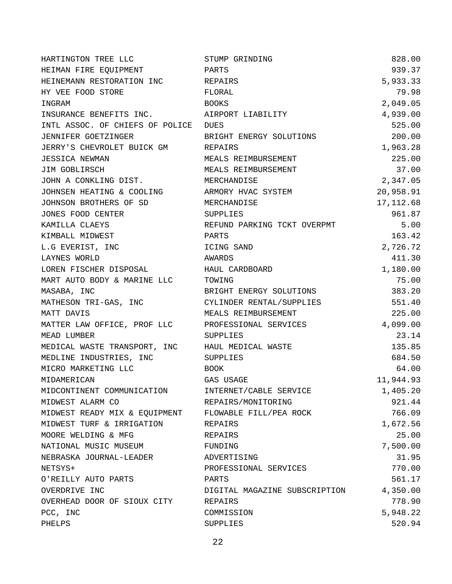| HARTINGTON TREE LLC             | STUMP GRINDING                | 828.00     |
|---------------------------------|-------------------------------|------------|
| HEIMAN FIRE EQUIPMENT           | PARTS                         | 939.37     |
| HEINEMANN RESTORATION INC       | REPAIRS                       | 5,933.33   |
| HY VEE FOOD STORE               | FLORAL                        | 79.98      |
| INGRAM                          | <b>BOOKS</b>                  | 2,049.05   |
| INSURANCE BENEFITS INC.         | AIRPORT LIABILITY             | 4,939.00   |
| INTL ASSOC. OF CHIEFS OF POLICE | DUES                          | 525.00     |
| JENNIFER GOETZINGER             | BRIGHT ENERGY SOLUTIONS       | 200.00     |
| JERRY'S CHEVROLET BUICK GM      | REPAIRS                       | 1,963.28   |
| <b>JESSICA NEWMAN</b>           | MEALS REIMBURSEMENT           | 225.00     |
| JIM GOBLIRSCH                   | MEALS REIMBURSEMENT           | 37.00      |
| JOHN A CONKLING DIST.           | MERCHANDISE                   | 2,347.05   |
| JOHNSEN HEATING & COOLING       | ARMORY HVAC SYSTEM            | 20,958.91  |
| JOHNSON BROTHERS OF SD          | MERCHANDISE                   | 17, 112.68 |
| JONES FOOD CENTER               | SUPPLIES                      | 961.87     |
| KAMILLA CLAEYS                  | REFUND PARKING TCKT OVERPMT   | 5.00       |
| KIMBALL MIDWEST                 | PARTS                         | 163.42     |
| L.G EVERIST, INC                | ICING SAND                    | 2,726.72   |
| LAYNES WORLD                    | AWARDS                        | 411.30     |
| LOREN FISCHER DISPOSAL          | HAUL CARDBOARD                | 1,180.00   |
| MART AUTO BODY & MARINE LLC     | TOWING                        | 75.00      |
| MASABA, INC                     | BRIGHT ENERGY SOLUTIONS       | 383.20     |
| MATHESON TRI-GAS, INC           | CYLINDER RENTAL/SUPPLIES      | 551.40     |
| MATT DAVIS                      | MEALS REIMBURSEMENT           | 225.00     |
| MATTER LAW OFFICE, PROF LLC     | PROFESSIONAL SERVICES         | 4,099.00   |
| MEAD LUMBER                     | SUPPLIES                      | 23.14      |
| MEDICAL WASTE TRANSPORT, INC    | HAUL MEDICAL WASTE            | 135.85     |
| MEDLINE INDUSTRIES, INC         | SUPPLIES                      | 684.50     |
| MICRO MARKETING LLC             | BOOK                          | 64.00      |
| MIDAMERICAN                     | GAS USAGE                     | 11,944.93  |
| MIDCONTINENT COMMUNICATION      | INTERNET/CABLE SERVICE        | 1,405.20   |
| MIDWEST ALARM CO                | REPAIRS/MONITORING            | 921.44     |
| MIDWEST READY MIX & EQUIPMENT   | FLOWABLE FILL/PEA ROCK        | 766.09     |
| MIDWEST TURF & IRRIGATION       | REPAIRS                       | 1,672.56   |
| MOORE WELDING & MFG             | REPAIRS                       | 25.00      |
| NATIONAL MUSIC MUSEUM           | FUNDING                       | 7,500.00   |
| NEBRASKA JOURNAL-LEADER         | ADVERTISING                   | 31.95      |
| NETSYS+                         | PROFESSIONAL SERVICES         | 770.00     |
| O'REILLY AUTO PARTS             | PARTS                         | 561.17     |
| OVERDRIVE INC                   | DIGITAL MAGAZINE SUBSCRIPTION | 4,350.00   |
| OVERHEAD DOOR OF SIOUX CITY     | REPAIRS                       | 778.90     |
| PCC, INC                        | COMMISSION                    | 5,948.22   |
| PHELPS                          | SUPPLIES                      | 520.94     |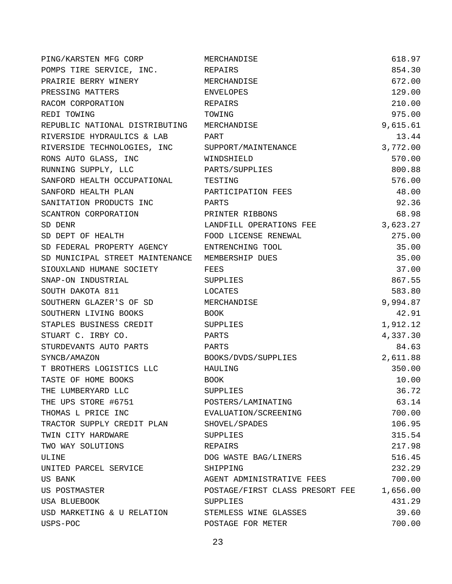| PING/KARSTEN MFG CORP           | MERCHANDISE                     | 618.97   |
|---------------------------------|---------------------------------|----------|
| POMPS TIRE SERVICE, INC.        | REPAIRS                         | 854.30   |
| PRAIRIE BERRY WINERY            | MERCHANDISE                     | 672.00   |
| PRESSING MATTERS                | <b>ENVELOPES</b>                | 129.00   |
| RACOM CORPORATION               | <b>REPAIRS</b>                  | 210.00   |
| REDI TOWING                     | TOWING                          | 975.00   |
| REPUBLIC NATIONAL DISTRIBUTING  | MERCHANDISE                     | 9,615.61 |
| RIVERSIDE HYDRAULICS & LAB      | PART                            | 13.44    |
| RIVERSIDE TECHNOLOGIES, INC     | SUPPORT/MAINTENANCE             | 3,772.00 |
| RONS AUTO GLASS, INC            | WINDSHIELD                      | 570.00   |
| RUNNING SUPPLY, LLC             | PARTS/SUPPLIES                  | 800.88   |
| SANFORD HEALTH OCCUPATIONAL     | TESTING                         | 576.00   |
| SANFORD HEALTH PLAN             | PARTICIPATION FEES              | 48.00    |
| SANITATION PRODUCTS INC         | PARTS                           | 92.36    |
| SCANTRON CORPORATION            | PRINTER RIBBONS                 | 68.98    |
| SD DENR                         | LANDFILL OPERATIONS FEE         | 3,623.27 |
| SD DEPT OF HEALTH               | FOOD LICENSE RENEWAL            | 275.00   |
| SD FEDERAL PROPERTY AGENCY      | ENTRENCHING TOOL                | 35.00    |
| SD MUNICIPAL STREET MAINTENANCE | MEMBERSHIP DUES                 | 35.00    |
| SIOUXLAND HUMANE SOCIETY        | FEES                            | 37.00    |
| SNAP-ON INDUSTRIAL              | SUPPLIES                        | 867.55   |
| SOUTH DAKOTA 811                | LOCATES                         | 583.80   |
| SOUTHERN GLAZER'S OF SD         | MERCHANDISE                     | 9,994.87 |
| SOUTHERN LIVING BOOKS           | BOOK.                           | 42.91    |
| STAPLES BUSINESS CREDIT         | SUPPLIES                        | 1,912.12 |
| STUART C. IRBY CO.              | PARTS                           | 4,337.30 |
| STURDEVANTS AUTO PARTS          | PARTS                           | 84.63    |
| SYNCB/AMAZON                    | BOOKS/DVDS/SUPPLIES             | 2,611.88 |
| T BROTHERS LOGISTICS LLC        | HAULING                         | 350.00   |
| TASTE OF HOME BOOKS             | <b>BOOK</b>                     | 10.00    |
| THE LUMBERYARD LLC              | <b>SUPPLIES</b>                 | 36.72    |
| THE UPS STORE #6751             | POSTERS/LAMINATING              | 63.14    |
| THOMAS L PRICE INC              | EVALUATION/SCREENING            | 700.00   |
| TRACTOR SUPPLY CREDIT PLAN      | SHOVEL/SPADES                   | 106.95   |
| TWIN CITY HARDWARE              | SUPPLIES                        | 315.54   |
| TWO WAY SOLUTIONS               | REPAIRS                         | 217.98   |
| ULINE                           | DOG WASTE BAG/LINERS            | 516.45   |
| UNITED PARCEL SERVICE           | SHIPPING                        | 232.29   |
| <b>US BANK</b>                  | AGENT ADMINISTRATIVE FEES       | 700.00   |
| US POSTMASTER                   | POSTAGE/FIRST CLASS PRESORT FEE | 1,656.00 |
| USA BLUEBOOK                    | SUPPLIES                        | 431.29   |
| USD MARKETING & U RELATION      | STEMLESS WINE GLASSES           | 39.60    |
| USPS-POC                        | POSTAGE FOR METER               | 700.00   |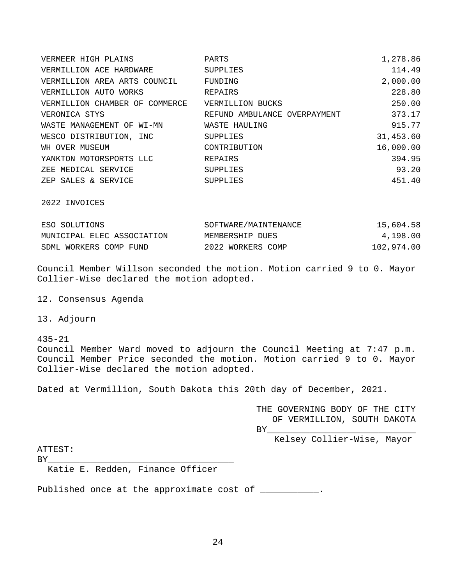| VERMEER HIGH PLAINS            | PARTS                        | 1,278.86  |
|--------------------------------|------------------------------|-----------|
| VERMILLION ACE HARDWARE        | SUPPLIES                     | 114.49    |
| VERMILLION AREA ARTS COUNCIL   | FUNDING                      | 2,000.00  |
| VERMILLION AUTO WORKS          | REPAIRS                      | 228.80    |
| VERMILLION CHAMBER OF COMMERCE | VERMILLION BUCKS             | 250.00    |
| VERONICA STYS                  | REFUND AMBULANCE OVERPAYMENT | 373.17    |
| WASTE MANAGEMENT OF WI-MN      | WASTE HAULING                | 915.77    |
| WESCO DISTRIBUTION, INC        | SUPPLIES                     | 31,453.60 |
| WH OVER MUSEUM                 | CONTRIBUTION                 | 16,000.00 |
| YANKTON MOTORSPORTS LLC        | REPAIRS                      | 394.95    |
| ZEE MEDICAL SERVICE            | <b>SUPPLIES</b>              | 93.20     |
| ZEP SALES & SERVICE            | <b>SUPPLIES</b>              | 451.40    |

2022 INVOICES

| ESO SOLUTIONS              | SOFTWARE/MAINTENANCE | 15,604.58  |
|----------------------------|----------------------|------------|
| MUNICIPAL ELEC ASSOCIATION | MEMBERSHIP DUES      | 4,198.00   |
| SDML WORKERS COMP FUND     | 2022 WORKERS COMP    | 102,974.00 |

Council Member Willson seconded the motion. Motion carried 9 to 0. Mayor Collier-Wise declared the motion adopted.

12. Consensus Agenda

13. Adjourn

435-21 Council Member Ward moved to adjourn the Council Meeting at 7:47 p.m. Council Member Price seconded the motion. Motion carried 9 to 0. Mayor Collier-Wise declared the motion adopted.

Dated at Vermillion, South Dakota this 20th day of December, 2021.

|                                  | THE GOVERNING BODY OF THE CITY |
|----------------------------------|--------------------------------|
|                                  | OF VERMILLION, SOUTH DAKOTA    |
|                                  | BY FOUND TO PUT                |
|                                  | Kelsey Collier-Wise, Mayor     |
| ATTEST:                          |                                |
| ΒY                               |                                |
| Katie E. Redden, Finance Officer |                                |

Published once at the approximate cost of  $\frac{1}{\sqrt{1-\frac{1}{n}}}\cdot$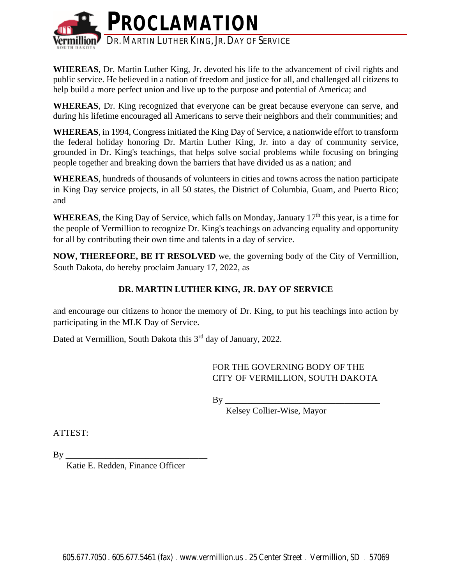

**WHEREAS**, Dr. Martin Luther King, Jr. devoted his life to the advancement of civil rights and public service. He believed in a nation of freedom and justice for all, and challenged all citizens to help build a more perfect union and live up to the purpose and potential of America; and

**WHEREAS**, Dr. King recognized that everyone can be great because everyone can serve, and during his lifetime encouraged all Americans to serve their neighbors and their communities; and

**WHEREAS**, in 1994, Congress initiated the King Day of Service, a nationwide effort to transform the federal holiday honoring Dr. Martin Luther King, Jr. into a day of community service, grounded in Dr. King's teachings, that helps solve social problems while focusing on bringing people together and breaking down the barriers that have divided us as a nation; and

**WHEREAS**, hundreds of thousands of volunteers in cities and towns across the nation participate in King Day service projects, in all 50 states, the District of Columbia, Guam, and Puerto Rico; and

WHEREAS, the King Day of Service, which falls on Monday, January 17<sup>th</sup> this year, is a time for the people of Vermillion to recognize Dr. King's teachings on advancing equality and opportunity for all by contributing their own time and talents in a day of service.

**NOW, THEREFORE, BE IT RESOLVED** we, the governing body of the City of Vermillion, South Dakota, do hereby proclaim January 17, 2022, as

# **DR. MARTIN LUTHER KING, JR. DAY OF SERVICE**

and encourage our citizens to honor the memory of Dr. King, to put his teachings into action by participating in the MLK Day of Service.

Dated at Vermillion, South Dakota this 3<sup>rd</sup> day of January, 2022.

FOR THE GOVERNING BODY OF THE CITY OF VERMILLION, SOUTH DAKOTA

 $\mathbf{B} \mathbf{v}$ 

Kelsey Collier-Wise, Mayor

ATTEST:

 $By \_\_$ 

Katie E. Redden, Finance Officer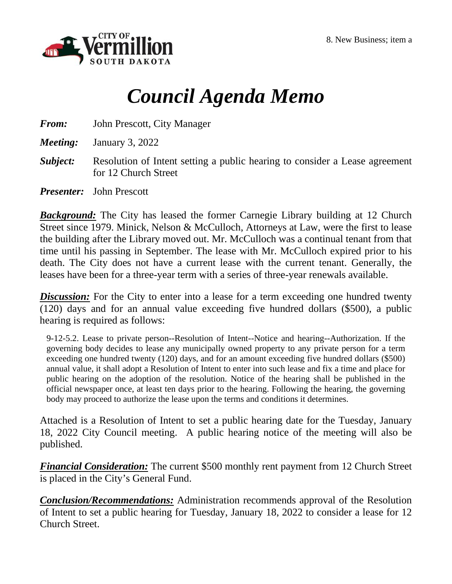

# *Council Agenda Memo*

*From:* John Prescott, City Manager

*Meeting:* January 3, 2022

- *Subject:* Resolution of Intent setting a public hearing to consider a Lease agreement for 12 Church Street
- *Presenter:* John Prescott

*Background:* The City has leased the former Carnegie Library building at 12 Church Street since 1979. Minick, Nelson & McCulloch, Attorneys at Law, were the first to lease the building after the Library moved out. Mr. McCulloch was a continual tenant from that time until his passing in September. The lease with Mr. McCulloch expired prior to his death. The City does not have a current lease with the current tenant. Generally, the leases have been for a three-year term with a series of three-year renewals available.

**Discussion:** For the City to enter into a lease for a term exceeding one hundred twenty (120) days and for an annual value exceeding five hundred dollars (\$500), a public hearing is required as follows:

9-12-5.2. Lease to private person--Resolution of Intent--Notice and hearing--Authorization. If the governing body decides to lease any municipally owned property to any private person for a term exceeding one hundred twenty (120) days, and for an amount exceeding five hundred dollars (\$500) annual value, it shall adopt a Resolution of Intent to enter into such lease and fix a time and place for public hearing on the adoption of the resolution. Notice of the hearing shall be published in the official newspaper once, at least ten days prior to the hearing. Following the hearing, the governing body may proceed to authorize the lease upon the terms and conditions it determines.

Attached is a Resolution of Intent to set a public hearing date for the Tuesday, January 18, 2022 City Council meeting. A public hearing notice of the meeting will also be published.

*Financial Consideration:* The current \$500 monthly rent payment from 12 Church Street is placed in the City's General Fund.

*Conclusion/Recommendations:* Administration recommends approval of the Resolution of Intent to set a public hearing for Tuesday, January 18, 2022 to consider a lease for 12 Church Street.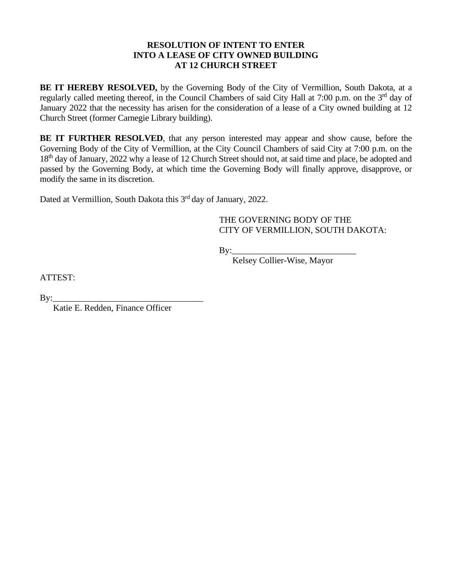## **RESOLUTION OF INTENT TO ENTER INTO A LEASE OF CITY OWNED BUILDING AT 12 CHURCH STREET**

**BE IT HEREBY RESOLVED,** by the Governing Body of the City of Vermillion, South Dakota, at a regularly called meeting thereof, in the Council Chambers of said City Hall at 7:00 p.m. on the 3<sup>rd</sup> day of January 2022 that the necessity has arisen for the consideration of a lease of a City owned building at 12 Church Street (former Carnegie Library building).

**BE IT FURTHER RESOLVED**, that any person interested may appear and show cause, before the Governing Body of the City of Vermillion, at the City Council Chambers of said City at 7:00 p.m. on the 18<sup>th</sup> day of January, 2022 why a lease of 12 Church Street should not, at said time and place, be adopted and passed by the Governing Body, at which time the Governing Body will finally approve, disapprove, or modify the same in its discretion.

Dated at Vermillion, South Dakota this 3<sup>rd</sup> day of January, 2022.

THE GOVERNING BODY OF THE CITY OF VERMILLION, SOUTH DAKOTA:

By:\_\_\_\_\_\_\_\_\_\_\_\_\_\_\_\_\_\_\_\_\_\_\_\_\_\_\_\_

Kelsey Collier-Wise, Mayor

ATTEST:

By:\_\_\_\_\_\_\_\_\_\_\_\_\_\_\_\_\_\_\_\_\_\_\_\_\_\_\_\_\_\_\_\_\_\_

Katie E. Redden, Finance Officer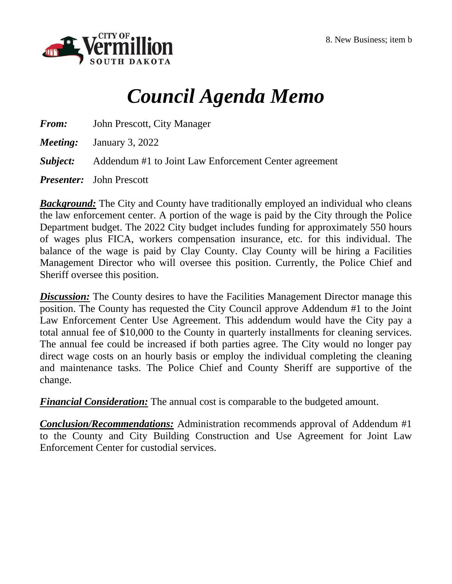

# *Council Agenda Memo*

*From:* John Prescott, City Manager

*Meeting:* January 3, 2022

*Subject:* Addendum #1 to Joint Law Enforcement Center agreement

*Presenter:* John Prescott

*Background:* The City and County have traditionally employed an individual who cleans the law enforcement center. A portion of the wage is paid by the City through the Police Department budget. The 2022 City budget includes funding for approximately 550 hours of wages plus FICA, workers compensation insurance, etc. for this individual. The balance of the wage is paid by Clay County. Clay County will be hiring a Facilities Management Director who will oversee this position. Currently, the Police Chief and Sheriff oversee this position.

**Discussion:** The County desires to have the Facilities Management Director manage this position. The County has requested the City Council approve Addendum #1 to the Joint Law Enforcement Center Use Agreement. This addendum would have the City pay a total annual fee of \$10,000 to the County in quarterly installments for cleaning services. The annual fee could be increased if both parties agree. The City would no longer pay direct wage costs on an hourly basis or employ the individual completing the cleaning and maintenance tasks. The Police Chief and County Sheriff are supportive of the change.

*Financial Consideration:* The annual cost is comparable to the budgeted amount.

*Conclusion/Recommendations:* Administration recommends approval of Addendum #1 to the County and City Building Construction and Use Agreement for Joint Law Enforcement Center for custodial services.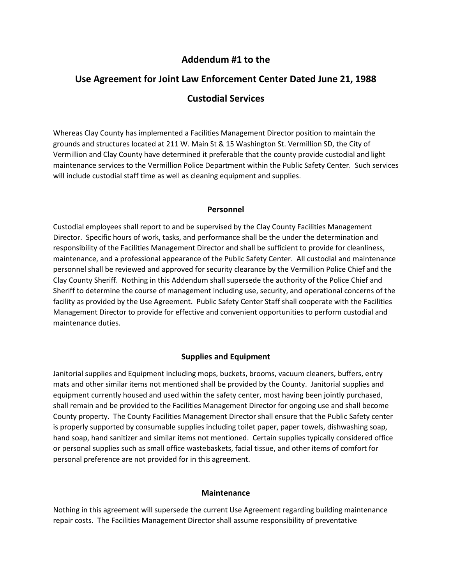# **Addendum #1 to the**

# **Use Agreement for Joint Law Enforcement Center Dated June 21, 1988 Custodial Services**

Whereas Clay County has implemented a Facilities Management Director position to maintain the grounds and structures located at 211 W. Main St & 15 Washington St. Vermillion SD, the City of Vermillion and Clay County have determined it preferable that the county provide custodial and light maintenance services to the Vermillion Police Department within the Public Safety Center. Such services will include custodial staff time as well as cleaning equipment and supplies.

## **Personnel**

Custodial employees shall report to and be supervised by the Clay County Facilities Management Director. Specific hours of work, tasks, and performance shall be the under the determination and responsibility of the Facilities Management Director and shall be sufficient to provide for cleanliness, maintenance, and a professional appearance of the Public Safety Center. All custodial and maintenance personnel shall be reviewed and approved for security clearance by the Vermillion Police Chief and the Clay County Sheriff. Nothing in this Addendum shall supersede the authority of the Police Chief and Sheriff to determine the course of management including use, security, and operational concerns of the facility as provided by the Use Agreement. Public Safety Center Staff shall cooperate with the Facilities Management Director to provide for effective and convenient opportunities to perform custodial and maintenance duties.

## **Supplies and Equipment**

Janitorial supplies and Equipment including mops, buckets, brooms, vacuum cleaners, buffers, entry mats and other similar items not mentioned shall be provided by the County. Janitorial supplies and equipment currently housed and used within the safety center, most having been jointly purchased, shall remain and be provided to the Facilities Management Director for ongoing use and shall become County property. The County Facilities Management Director shall ensure that the Public Safety center is properly supported by consumable supplies including toilet paper, paper towels, dishwashing soap, hand soap, hand sanitizer and similar items not mentioned. Certain supplies typically considered office or personal supplies such as small office wastebaskets, facial tissue, and other items of comfort for personal preference are not provided for in this agreement.

#### **Maintenance**

Nothing in this agreement will supersede the current Use Agreement regarding building maintenance repair costs. The Facilities Management Director shall assume responsibility of preventative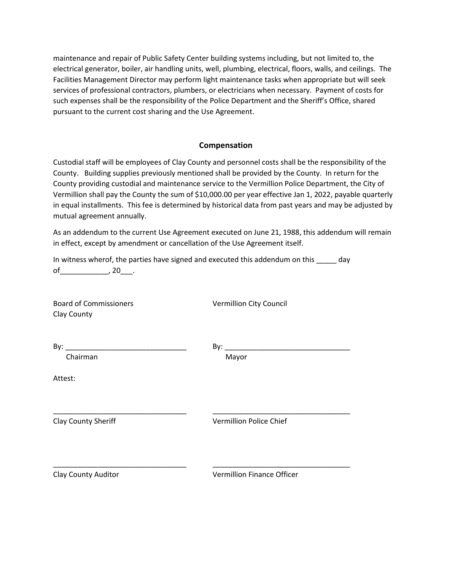maintenance and repair of Public Safety Center building systems including, but not limited to, the electrical generator, boiler, air handling units, well, plumbing, electrical, floors, walls, and ceilings. The Facilities Management Director may perform light maintenance tasks when appropriate but will seek services of professional contractors, plumbers, or electricians when necessary. Payment of costs for such expenses shall be the responsibility of the Police Department and the Sheriff's Office, shared pursuant to the current cost sharing and the Use Agreement.

## **Compensation**

Custodial staff will be employees of Clay County and personnel costs shall be the responsibility of the County. Building supplies previously mentioned shall be provided by the County. In return for the County providing custodial and maintenance service to the Vermillion Police Department, the City of Vermillion shall pay the County the sum of \$10,000.00 per year effective Jan 1, 2022, payable quarterly in equal installments. This fee is determined by historical data from past years and may be adjusted by mutual agreement annually.

As an addendum to the current Use Agreement executed on June 21, 1988, this addendum will remain in effect, except by amendment or cancellation of the Use Agreement itself.

In witness wherof, the parties have signed and executed this addendum on this \_\_\_\_\_ day of\_\_\_\_\_\_\_\_\_\_\_\_\_\_\_, 20\_\_\_\_.

\_\_\_\_\_\_\_\_\_\_\_\_\_\_\_\_\_\_\_\_\_\_\_\_\_\_\_\_\_\_\_\_\_ \_\_\_\_\_\_\_\_\_\_\_\_\_\_\_\_\_\_\_\_\_\_\_\_\_\_\_\_\_\_\_\_\_\_

\_\_\_\_\_\_\_\_\_\_\_\_\_\_\_\_\_\_\_\_\_\_\_\_\_\_\_\_\_\_\_\_\_ \_\_\_\_\_\_\_\_\_\_\_\_\_\_\_\_\_\_\_\_\_\_\_\_\_\_\_\_\_\_\_\_\_\_

Board of Commissioners **Vermillion City Council** Clay County

By: \_\_\_\_\_\_\_\_\_\_\_\_\_\_\_\_\_\_\_\_\_\_\_\_\_\_\_\_\_\_ By: \_\_\_\_\_\_\_\_\_\_\_\_\_\_\_\_\_\_\_\_\_\_\_\_\_\_\_\_\_\_\_

Chairman Mayor

Attest:

Clay County Sheriff Vermillion Police Chief

Clay County Auditor Vermillion Finance Officer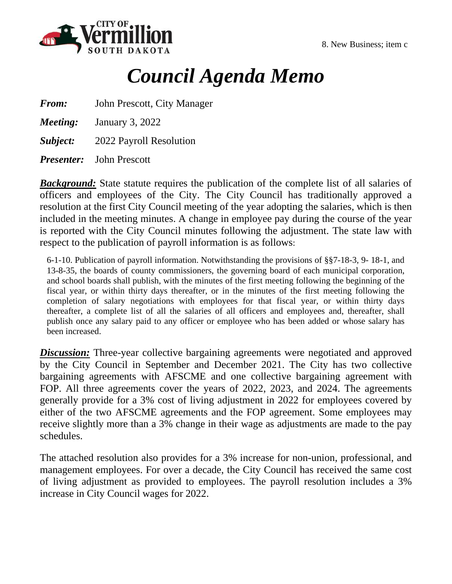



# *Council Agenda Memo*

*From:* John Prescott, City Manager

*Meeting:* January 3, 2022

*Subject:* 2022 Payroll Resolution

*Presenter:* John Prescott

*Background:* State statute requires the publication of the complete list of all salaries of officers and employees of the City. The City Council has traditionally approved a resolution at the first City Council meeting of the year adopting the salaries, which is then included in the meeting minutes. A change in employee pay during the course of the year is reported with the City Council minutes following the adjustment. The state law with respect to the publication of payroll information is as follows:

6-1-10. Publication of payroll information. Notwithstanding the provisions of §§7-18-3, 9- 18-1, and 13-8-35, the boards of county commissioners, the governing board of each municipal corporation, and school boards shall publish, with the minutes of the first meeting following the beginning of the fiscal year, or within thirty days thereafter, or in the minutes of the first meeting following the completion of salary negotiations with employees for that fiscal year, or within thirty days thereafter, a complete list of all the salaries of all officers and employees and, thereafter, shall publish once any salary paid to any officer or employee who has been added or whose salary has been increased.

*Discussion:* Three-year collective bargaining agreements were negotiated and approved by the City Council in September and December 2021. The City has two collective bargaining agreements with AFSCME and one collective bargaining agreement with FOP. All three agreements cover the years of 2022, 2023, and 2024. The agreements generally provide for a 3% cost of living adjustment in 2022 for employees covered by either of the two AFSCME agreements and the FOP agreement. Some employees may receive slightly more than a 3% change in their wage as adjustments are made to the pay schedules.

The attached resolution also provides for a 3% increase for non-union, professional, and management employees. For over a decade, the City Council has received the same cost of living adjustment as provided to employees. The payroll resolution includes a 3% increase in City Council wages for 2022.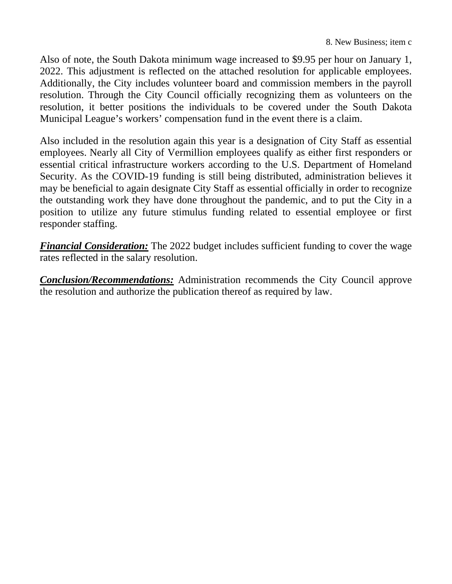Also of note, the South Dakota minimum wage increased to \$9.95 per hour on January 1, 2022. This adjustment is reflected on the attached resolution for applicable employees. Additionally, the City includes volunteer board and commission members in the payroll resolution. Through the City Council officially recognizing them as volunteers on the resolution, it better positions the individuals to be covered under the South Dakota Municipal League's workers' compensation fund in the event there is a claim.

Also included in the resolution again this year is a designation of City Staff as essential employees. Nearly all City of Vermillion employees qualify as either first responders or essential critical infrastructure workers according to the U.S. Department of Homeland Security. As the COVID-19 funding is still being distributed, administration believes it may be beneficial to again designate City Staff as essential officially in order to recognize the outstanding work they have done throughout the pandemic, and to put the City in a position to utilize any future stimulus funding related to essential employee or first responder staffing.

*Financial Consideration:* The 2022 budget includes sufficient funding to cover the wage rates reflected in the salary resolution.

*Conclusion/Recommendations:* Administration recommends the City Council approve the resolution and authorize the publication thereof as required by law.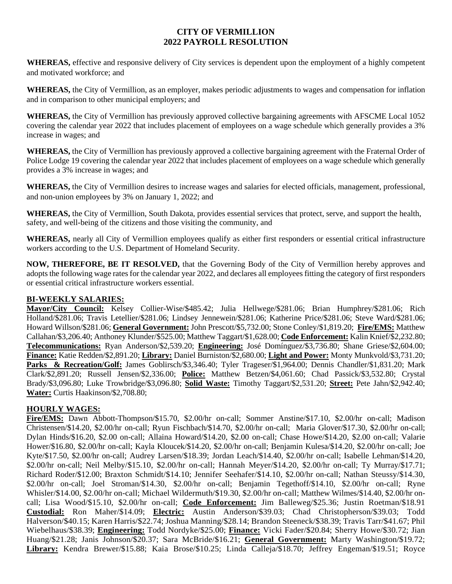# **CITY OF VERMILLION 2022 PAYROLL RESOLUTION**

**WHEREAS,** effective and responsive delivery of City services is dependent upon the employment of a highly competent and motivated workforce; and

**WHEREAS,** the City of Vermillion, as an employer, makes periodic adjustments to wages and compensation for inflation and in comparison to other municipal employers; and

**WHEREAS,** the City of Vermillion has previously approved collective bargaining agreements with AFSCME Local 1052 covering the calendar year 2022 that includes placement of employees on a wage schedule which generally provides a 3% increase in wages; and

WHEREAS, the City of Vermillion has previously approved a collective bargaining agreement with the Fraternal Order of Police Lodge 19 covering the calendar year 2022 that includes placement of employees on a wage schedule which generally provides a 3% increase in wages; and

**WHEREAS,** the City of Vermillion desires to increase wages and salaries for elected officials, management, professional, and non-union employees by 3% on January 1, 2022; and

**WHEREAS,** the City of Vermillion, South Dakota, provides essential services that protect, serve, and support the health, safety, and well-being of the citizens and those visiting the community, and

**WHEREAS,** nearly all City of Vermillion employees qualify as either first responders or essential critical infrastructure workers according to the U.S. Department of Homeland Security.

**NOW, THEREFORE, BE IT RESOLVED,** that the Governing Body of the City of Vermillion hereby approves and adopts the following wage rates for the calendar year 2022, and declares all employees fitting the category of first responders or essential critical infrastructure workers essential.

## **BI-WEEKLY SALARIES:**

**Mayor/City Council:** Kelsey Collier-Wise/\$485.42; Julia Hellwege/\$281.06; Brian Humphrey/\$281.06; Rich Holland/\$281.06; Travis Letellier/\$281.06; Lindsey Jennewein/\$281.06; Katherine Price/\$281.06; Steve Ward/\$281.06; Howard Willson/\$281.06; **General Government:** John Prescott/\$5,732.00; Stone Conley/\$1,819.20; **Fire/EMS:** Matthew Callahan/\$3,206.40; Anthoney Klunder/\$525.00; Matthew Taggart/\$1,628.00; **Code Enforcement:** Kalin Knief/\$2,232.80; **Telecommunications:** Ryan Anderson/\$2,539.20; **Engineering:** José Domínguez/\$3,736.80; Shane Griese/\$2,604.00; **Finance:** Katie Redden/\$2,891.20; **Library:** Daniel Burniston/\$2,680.00; **Light and Power:** Monty Munkvold/\$3,731.20; Parks & Recreation/Golf: James Goblirsch/\$3,346.40; Tyler Trageser/\$1,964.00; Dennis Chandler/\$1,831.20; Mark Clark/\$2,891.20; Russell Jensen/\$2,336.00; **Police:** Matthew Betzen/\$4,061.60; Chad Passick/\$3,532.80; Crystal Brady/\$3,096.80; Luke Trowbridge/\$3,096.80; **Solid Waste:** Timothy Taggart/\$2,531.20; **Street:** Pete Jahn/\$2,942.40; **Water:** Curtis Haakinson/\$2,708.80;

## **HOURLY WAGES:**

**Fire/EMS:** Dawn Abbott-Thompson/\$15.70, \$2.00/hr on-call; Sommer Anstine/\$17.10, \$2.00/hr on-call; Madison Christensen/\$14.20, \$2.00/hr on-call; Ryun Fischbach/\$14.70, \$2.00/hr on-call; Maria Glover/\$17.30, \$2.00/hr on-call; Dylan Hinds/\$16.20, \$2.00 on-call; Allaina Howard/\$14.20, \$2.00 on-call; Chase Howe/\$14.20, \$2.00 on-call; Valarie Hower/\$16.80, \$2.00/hr on-call; Kayla Kloucek/\$14.20, \$2.00/hr on-call; Benjamin Kulesa/\$14.20, \$2.00/hr on-call; Joe Kyte/\$17.50, \$2.00/hr on-call; Audrey Larsen/\$18.39; Jordan Leach/\$14.40, \$2.00/hr on-call; Isabelle Lehman/\$14.20, \$2.00/hr on-call; Neil Melby/\$15.10, \$2.00/hr on-call; Hannah Meyer/\$14.20, \$2.00/hr on-call; Ty Murray/\$17.71; Richard Roder/\$12.00; Braxton Schmidt/\$14.10; Jennifer Seehafer/\$14.10, \$2.00/hr on-call; Nathan Steussy/\$14.30, \$2.00/hr on-call; Joel Stroman/\$14.30, \$2.00/hr on-call; Benjamin Tegethoff/\$14.10, \$2.00/hr on-call; Ryne Whisler/\$14.00, \$2.00/hr on-call; Michael Wildermuth/\$19.30, \$2.00/hr on-call; Matthew Wilmes/\$14.40, \$2.00/hr oncall; Lisa Wood/\$15.10, \$2.00/hr on-call; **Code Enforcement:** Jim Balleweg/\$25.36; Justin Roetman/\$18.91 **Custodial:** Ron Maher/\$14.09; **Electric:** Austin Anderson/\$39.03; Chad Christopherson/\$39.03; Todd Halverson/\$40.15; Karen Harris/\$22.74; Joshua Manning/\$28.14; Brandon Steeneck/\$38.39; Travis Tarr/\$41.67; Phil Wiebelhaus/\$38.39; **Engineering:** Todd Nordyke/\$25.00; **Finance:** Vicki Fader/\$20.84; Sherry Howe/\$30.72; Jian Huang/\$21.28; Janis Johnson/\$20.37; Sara McBride/\$16.21; **General Government:** Marty Washington/\$19.72; **Library:** Kendra Brewer/\$15.88; Kaia Brose/\$10.25; Linda Calleja/\$18.70; Jeffrey Engeman/\$19.51; Royce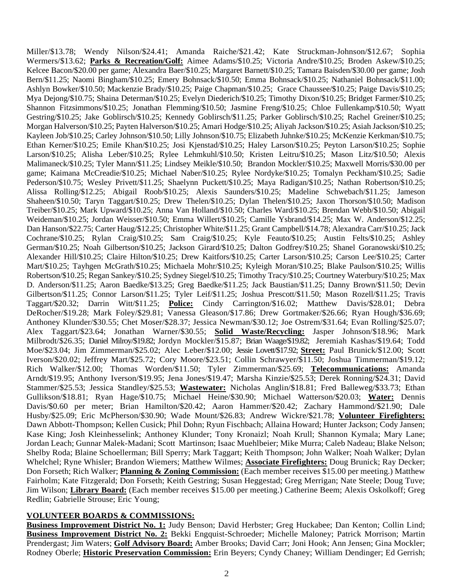Miller/\$13.78; Wendy Nilson/\$24.41; Amanda Raiche/\$21.42; Kate Struckman-Johnson/\$12.67; Sophia Wermers/\$13.62; **Parks & Recreation/Golf:** Aimee Adams/\$10.25; Victoria Andre/\$10.25; Broden Askew/\$10.25; Kelcee Bacon/\$20.00 per game; Alexandra Baer/\$10.25; Margaret Barnett/\$10.25; Tamara Baisden/\$30.00 per game; Josh Bern/\$11.25; Naomi Bingham/\$10.25; Emery Bohnsack/\$10.50; Emma Bohnsack/\$10.25; Nathaniel Bohnsack/\$11.00; Ashlyn Bowker/\$10.50; Mackenzie Brady/\$10.25; Paige Chapman/\$10.25; Grace Chaussee/\$10.25; Paige Davis/\$10.25; Mya Dejong/\$10.75; Shaina Determan/\$10.25; Evelyn Diederich/\$10.25; Timothy Dixon/\$10.25; Bridget Farmer/\$10.25; Shannon Fitzsimmons/\$10.25; Jonathan Flemming/\$10.50; Jasmine Freng/\$10.25; Chloe Fullenkamp/\$10.50; Wyatt Gestring/\$10.25; Jake Goblirsch/\$10.25; Kennedy Goblirsch/\$11.25; Parker Goblirsch/\$10.25; Rachel Greiner/\$10.25; Morgan Halverson/\$10.25; Payten Halverson/\$10.25; Amari Hodge/\$10.25; Aliyah Jackson/\$10.25; Asiah Jackson/\$10.25; Kayleen Job/\$10.25; Carley Johnson/\$10.50; Lilly Johnson/\$10.75; Elizabeth Juhnke/\$10.25; McKenzie Kerkman/\$10.75; Ethan Kerner/\$10.25; Emile Khan/\$10.25; Josi Kjenstad/\$10.25; Haley Larson/\$10.25; Peyton Larson/\$10.25; Sophie Larson/\$10.25; Alisha Leber/\$10.25; Rylee Lehmkuhl/\$10.50; Kristen Leitru/\$10.25; Mason Litz/\$10.50; Alexis Malimaneck/\$10.25; Tyler Mann/\$11.25; Lindsey Meikle/\$10.50; Brandon Mockler/\$10.25; Maxwell Morris/\$30.00 per game; Kaimana McCreadie/\$10.25; Michael Naber/\$10.25; Rylee Nordyke/\$10.25; Tomalyn Peckham/\$10.25; Sadie Pederson/\$10.75; Wesley Privett/\$11.25; Shaelynn Puckett/\$10.25; Maya Radigan/\$10.25; Nathan Robertson/\$10.25; Alissa Rolling/\$12.25; Abigail Roob/\$10.25; Alexis Saunders/\$10.25; Madeline Schwebach/\$11.25; Jameson Shaheen/\$10.50; Taryn Taggart/\$10.25; Drew Thelen/\$10.25; Dylan Thelen/\$10.25; Jaxon Thorson/\$10.50; Madison Treiber/\$10.25; Mark Upward/\$10.25; Anna Van Holland/\$10.50; Charles Ward/\$10.25; Brendan Webb/\$10.50; Abigail Weideman/\$10.25; Jordan Weisser/\$10.50; Emma Willert/\$10.25; Camille Ysbrand/\$14.25; Max W. Anderson/\$12.25; Dan Hanson/\$22.75; Carter Haug/\$12.25; Christopher White/\$11.25; Grant Campbell/\$14.78; Alexandra Carr/\$10.25; Jack Cochrane/\$10.25; Rylan Craig/\$10.25; Sam Craig/\$10.25; Kyle Feauto/\$10.25; Austin Felts/\$10.25; Ashley German/\$10.25; Noah Gilbertson/\$10.25; Jackson Girard/\$10.25; Dalton Godfrey/\$10.25; Shanel Goranowski/\$10.25; Alexander Hill/\$10.25; Claire Hilton/\$10.25; Drew Kaitfors/\$10.25; Carter Larson/\$10.25; Carson Lee/\$10.25; Carter Mart/\$10.25; Tayhgen McGrath/\$10.25; Michaela Mohr/\$10.25; Kyleigh Moran/\$10.25; Blake Paulson/\$10.25; Willis Robertson/\$10.25; Regan Sankey/\$10.25; Sydney Siegel/\$10.25; Timothy Tracy/\$10.25; Courtney Waterbury/\$10.25; Max D. Anderson/\$11.25; Aaron Baedke/\$13.25; Greg Baedke/\$11.25; Jack Baustian/\$11.25; Danny Brown/\$11.50; Devin Gilbertson/\$11.25; Connor Larson/\$11.25; Tyler Leif/\$11.25; Joshua Prescott/\$11.50; Mason Rozell/\$11.25; Travis Taggart/\$20.32; Darrin Witt/\$11.25; **Police:** Cindy Carrington/\$16.02; Matthew Davis/\$28.01; Debra DeRocher/\$19.28; Mark Foley/\$29.81; Vanessa Gleason/\$17.86; Drew Gortmaker/\$26.66; Ryan Hough/\$36.69; Anthoney Klunder/\$30.55; Chet Moser/\$28.37; Jessica Newman/\$30.12; Joe Ostrem/\$31.64; Evan Rolling/\$25.07; Alex Taggart/\$23.64; Jonathan Warner/\$30.55; **Solid Waste/Recycling:** Jasper Johnson/\$18.96; Mark Milbrodt/\$26.35; Daniel Milroy/\$19.82; Jordyn Mockler/\$15.87; Brian Waage/\$19.82; Jeremiah Kashas/\$19.64; Todd Moe/\$23.04; Jim Zimmerman/\$25.02; Alec Leber/\$12.00; Jessie Lovett/\$17.92; **Street:** Paul Brunick/\$12.00; Scott Iverson/\$20.02; Jeffrey Mart/\$25.72; Cory Moore/\$23.51; Collin Schrawyer/\$11.50; Joshua Timmerman/\$19.12; Rich Walker/\$12.00; Thomas Worden/\$11.50; Tyler Zimmerman/\$25.69; **Telecommunications:** Amanda Arndt/\$19.95; Anthony Iverson/\$19.95; Jena Jones/\$19.47; Marsha Kinzie/\$25.53; Derek Ronning/\$24.31; David Stammer/\$25.53; Jessica Standley/\$25.53; **Wastewater:** Nicholas Anglin/\$18.81; Fred Balleweg/\$33.73; Ethan Gullikson/\$18.81; Ryan Hage/\$10.75; Michael Heine/\$30.90; Michael Watterson/\$20.03; **Water:** Dennis Davis/\$0.60 per meter; Brian Hamilton/\$20.42; Aaron Hammer/\$20.42; Zachary Hammond/\$21.90; Dale Husby/\$25.09; Eric McPherson/\$30.90; Wade Mount/\$26.83; Andrew Wickre/\$21.78; **Volunteer Firefighters:** Dawn Abbott-Thompson; Kellen Cusick; Phil Dohn; Ryun Fischbach; Allaina Howard; Hunter Jackson; Cody Jansen; Kase King; Josh Kleinhesselink; Anthoney Klunder; Tony Kronaizl; Noah Krull; Shannon Kymala; Mary Lane; Jordan Leach; Gunnar Malek-Madani; Scott Martinson; Isaac Muehlbeier; Mike Murra; Caleb Nadeau; Blake Nelson; Shelby Roda; Blaine Schoellerman; Bill Sperry; Mark Taggart; Keith Thompson; John Walker; Noah Walker; Dylan Whelchel; Ryne Whisler; Brandon Wiemers; Matthew Wilmes; **Associate Firefighters:** Doug Brunick; Ray Decker; Don Forseth; Rich Walker; **Planning & Zoning Commission:** (Each member receives \$15.00 per meeting.) Matthew Fairholm; Kate Fitzgerald; Don Forseth; Keith Gestring; Susan Heggestad; Greg Merrigan; Nate Steele; Doug Tuve; Jim Wilson; **Library Board:** (Each member receives \$15.00 per meeting.) Catherine Beem; Alexis Oskolkoff; Greg Redlin; Gabrielle Strouse; Eric Young;

## **VOLUNTEER BOARDS & COMMISSIONS:**

**Business Improvement District No. 1:** Judy Benson; David Herbster; Greg Huckabee; Dan Kenton; Collin Lind; **Business Improvement District No. 2:** Bekki Engquist-Schroeder; Michelle Maloney; Patrick Morrison; Martin Prendergast; Jim Waters; **Golf Advisory Board:** Amber Brooks; David Carr; Joni Hook; Ann Jensen; Gina Mockler; Rodney Oberle; **Historic Preservation Commission:** Erin Beyers; Cyndy Chaney; William Dendinger; Ed Gerrish;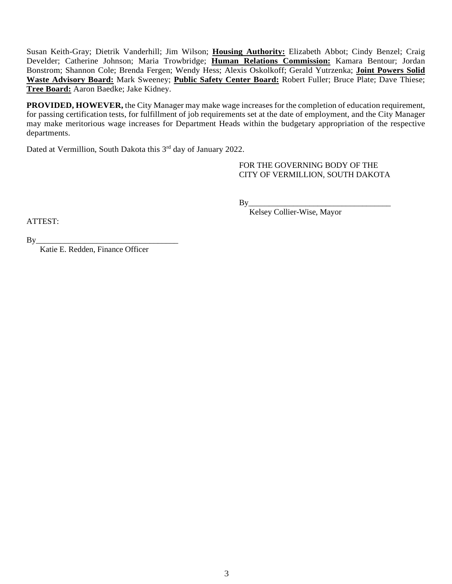Susan Keith-Gray; Dietrik Vanderhill; Jim Wilson; **Housing Authority:** Elizabeth Abbot; Cindy Benzel; Craig Develder; Catherine Johnson; Maria Trowbridge; **Human Relations Commission:** Kamara Bentour; Jordan Bonstrom; Shannon Cole; Brenda Fergen; Wendy Hess; Alexis Oskolkoff; Gerald Yutrzenka; **Joint Powers Solid Waste Advisory Board:** Mark Sweeney; **Public Safety Center Board:** Robert Fuller; Bruce Plate; Dave Thiese; **Tree Board:** Aaron Baedke; Jake Kidney.

**PROVIDED, HOWEVER,** the City Manager may make wage increases for the completion of education requirement, for passing certification tests, for fulfillment of job requirements set at the date of employment, and the City Manager may make meritorious wage increases for Department Heads within the budgetary appropriation of the respective departments.

Dated at Vermillion, South Dakota this 3<sup>rd</sup> day of January 2022.

FOR THE GOVERNING BODY OF THE CITY OF VERMILLION, SOUTH DAKOTA

By\_\_\_\_\_\_\_\_\_\_\_\_\_\_\_\_\_\_\_\_\_\_\_\_\_\_\_\_\_\_\_\_\_\_\_

Kelsey Collier-Wise, Mayor

ATTEST:

By\_\_\_\_\_\_\_\_\_\_\_\_\_\_\_\_\_\_\_\_\_\_\_\_\_\_\_\_\_\_\_\_\_\_\_

Katie E. Redden, Finance Officer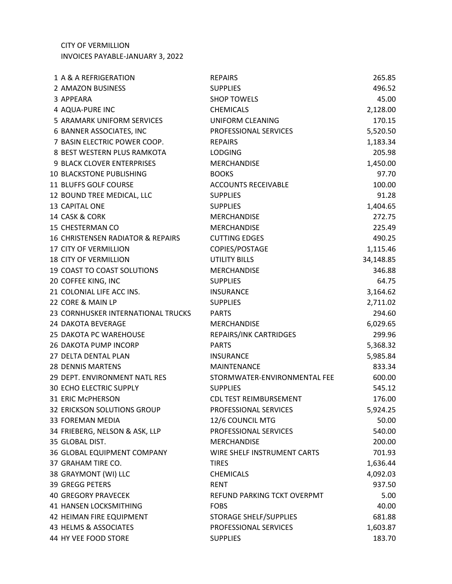CITY OF VERMILLION INVOICES PAYABLE-JANUARY 3, 2022

| 1 A & A REFRIGERATION              | <b>REPAIRS</b>                | 265.85    |
|------------------------------------|-------------------------------|-----------|
| 2 AMAZON BUSINESS                  | <b>SUPPLIES</b>               | 496.52    |
| 3 APPEARA                          | <b>SHOP TOWELS</b>            | 45.00     |
| 4 AQUA-PURE INC                    | <b>CHEMICALS</b>              | 2,128.00  |
| 5 ARAMARK UNIFORM SERVICES         | <b>UNIFORM CLEANING</b>       | 170.15    |
| 6 BANNER ASSOCIATES, INC           | PROFESSIONAL SERVICES         | 5,520.50  |
| 7 BASIN ELECTRIC POWER COOP.       | <b>REPAIRS</b>                | 1,183.34  |
| 8 BEST WESTERN PLUS RAMKOTA        | <b>LODGING</b>                | 205.98    |
| 9 BLACK CLOVER ENTERPRISES         | <b>MERCHANDISE</b>            | 1,450.00  |
| <b>10 BLACKSTONE PUBLISHING</b>    | <b>BOOKS</b>                  | 97.70     |
| 11 BLUFFS GOLF COURSE              | <b>ACCOUNTS RECEIVABLE</b>    | 100.00    |
| 12 BOUND TREE MEDICAL, LLC         | <b>SUPPLIES</b>               | 91.28     |
| 13 CAPITAL ONE                     | <b>SUPPLIES</b>               | 1,404.65  |
| 14 CASK & CORK                     | <b>MERCHANDISE</b>            | 272.75    |
| 15 CHESTERMAN CO                   | <b>MERCHANDISE</b>            | 225.49    |
| 16 CHRISTENSEN RADIATOR & REPAIRS  | <b>CUTTING EDGES</b>          | 490.25    |
| <b>17 CITY OF VERMILLION</b>       | COPIES/POSTAGE                | 1,115.46  |
| <b>18 CITY OF VERMILLION</b>       | <b>UTILITY BILLS</b>          | 34,148.85 |
| 19 COAST TO COAST SOLUTIONS        | <b>MERCHANDISE</b>            | 346.88    |
| 20 COFFEE KING, INC                | <b>SUPPLIES</b>               | 64.75     |
| 21 COLONIAL LIFE ACC INS.          | <b>INSURANCE</b>              | 3,164.62  |
| 22 CORE & MAIN LP                  | <b>SUPPLIES</b>               | 2,711.02  |
| 23 CORNHUSKER INTERNATIONAL TRUCKS | <b>PARTS</b>                  | 294.60    |
| <b>24 DAKOTA BEVERAGE</b>          | <b>MERCHANDISE</b>            | 6,029.65  |
| 25 DAKOTA PC WAREHOUSE             | REPAIRS/INK CARTRIDGES        | 299.96    |
| <b>26 DAKOTA PUMP INCORP</b>       | <b>PARTS</b>                  | 5,368.32  |
| 27 DELTA DENTAL PLAN               | <b>INSURANCE</b>              | 5,985.84  |
| <b>28 DENNIS MARTENS</b>           | MAINTENANCE                   | 833.34    |
| 29 DEPT. ENVIRONMENT NATL RES      | STORMWATER-ENVIRONMENTAL FEE  | 600.00    |
| <b>30 ECHO ELECTRIC SUPPLY</b>     | <b>SUPPLIES</b>               | 545.12    |
| 31 ERIC McPHERSON                  | CDL TEST REIMBURSEMENT        | 176.00    |
| 32 ERICKSON SOLUTIONS GROUP        | PROFESSIONAL SERVICES         | 5,924.25  |
| <b>33 FOREMAN MEDIA</b>            | 12/6 COUNCIL MTG              | 50.00     |
| 34 FRIEBERG, NELSON & ASK, LLP     | PROFESSIONAL SERVICES         | 540.00    |
| 35 GLOBAL DIST.                    | <b>MERCHANDISE</b>            | 200.00    |
| 36 GLOBAL EQUIPMENT COMPANY        | WIRE SHELF INSTRUMENT CARTS   | 701.93    |
| 37 GRAHAM TIRE CO.                 | <b>TIRES</b>                  | 1,636.44  |
| 38 GRAYMONT (WI) LLC               | <b>CHEMICALS</b>              | 4,092.03  |
| <b>39 GREGG PETERS</b>             | <b>RENT</b>                   | 937.50    |
| <b>40 GREGORY PRAVECEK</b>         | REFUND PARKING TCKT OVERPMT   | 5.00      |
| 41 HANSEN LOCKSMITHING             | <b>FOBS</b>                   | 40.00     |
| 42 HEIMAN FIRE EQUIPMENT           | <b>STORAGE SHELF/SUPPLIES</b> | 681.88    |
| 43 HELMS & ASSOCIATES              | PROFESSIONAL SERVICES         | 1,603.87  |
| 44 HY VEE FOOD STORE               | <b>SUPPLIES</b>               | 183.70    |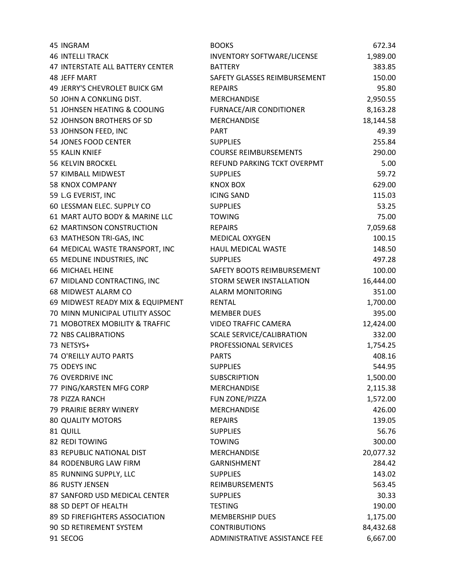| 45 INGRAM                        | <b>BOOKS</b>                     | 672.34    |
|----------------------------------|----------------------------------|-----------|
| <b>46 INTELLI TRACK</b>          | INVENTORY SOFTWARE/LICENSE       | 1,989.00  |
| 47 INTERSTATE ALL BATTERY CENTER | <b>BATTERY</b>                   | 383.85    |
| <b>48 JEFF MART</b>              | SAFETY GLASSES REIMBURSEMENT     | 150.00    |
| 49 JERRY'S CHEVROLET BUICK GM    | <b>REPAIRS</b>                   | 95.80     |
| 50 JOHN A CONKLING DIST.         | <b>MERCHANDISE</b>               | 2,950.55  |
| 51 JOHNSEN HEATING & COOLING     | <b>FURNACE/AIR CONDITIONER</b>   | 8,163.28  |
| 52 JOHNSON BROTHERS OF SD        | <b>MERCHANDISE</b>               | 18,144.58 |
| 53 JOHNSON FEED, INC             | <b>PART</b>                      | 49.39     |
| 54 JONES FOOD CENTER             | <b>SUPPLIES</b>                  | 255.84    |
| 55 KALIN KNIEF                   | <b>COURSE REIMBURSEMENTS</b>     | 290.00    |
| <b>56 KELVIN BROCKEL</b>         | REFUND PARKING TCKT OVERPMT      | 5.00      |
| 57 KIMBALL MIDWEST               | <b>SUPPLIES</b>                  | 59.72     |
| 58 KNOX COMPANY                  | <b>KNOX BOX</b>                  | 629.00    |
| 59 L.G EVERIST, INC              | <b>ICING SAND</b>                | 115.03    |
| 60 LESSMAN ELEC. SUPPLY CO       | <b>SUPPLIES</b>                  | 53.25     |
| 61 MART AUTO BODY & MARINE LLC   | <b>TOWING</b>                    | 75.00     |
| 62 MARTINSON CONSTRUCTION        | <b>REPAIRS</b>                   | 7,059.68  |
| 63 MATHESON TRI-GAS, INC         | <b>MEDICAL OXYGEN</b>            | 100.15    |
| 64 MEDICAL WASTE TRANSPORT, INC  | HAUL MEDICAL WASTE               | 148.50    |
| 65 MEDLINE INDUSTRIES, INC       | <b>SUPPLIES</b>                  | 497.28    |
| 66 MICHAEL HEINE                 | SAFETY BOOTS REIMBURSEMENT       | 100.00    |
| 67 MIDLAND CONTRACTING, INC      | STORM SEWER INSTALLATION         | 16,444.00 |
| 68 MIDWEST ALARM CO              | <b>ALARM MONITORING</b>          | 351.00    |
| 69 MIDWEST READY MIX & EQUIPMENT | <b>RENTAL</b>                    | 1,700.00  |
| 70 MINN MUNICIPAL UTILITY ASSOC  | <b>MEMBER DUES</b>               | 395.00    |
| 71 MOBOTREX MOBILITY & TRAFFIC   | <b>VIDEO TRAFFIC CAMERA</b>      | 12,424.00 |
| <b>72 NBS CALIBRATIONS</b>       | <b>SCALE SERVICE/CALIBRATION</b> | 332.00    |
| 73 NETSYS+                       | PROFESSIONAL SERVICES            | 1,754.25  |
| 74 O'REILLY AUTO PARTS           | <b>PARTS</b>                     | 408.16    |
| 75 ODEYS INC                     | <b>SUPPLIES</b>                  | 544.95    |
| <b>76 OVERDRIVE INC</b>          | <b>SUBSCRIPTION</b>              | 1,500.00  |
| 77 PING/KARSTEN MFG CORP         | <b>MERCHANDISE</b>               | 2,115.38  |
| 78 PIZZA RANCH                   | FUN ZONE/PIZZA                   | 1,572.00  |
| 79 PRAIRIE BERRY WINERY          | <b>MERCHANDISE</b>               | 426.00    |
| <b>80 QUALITY MOTORS</b>         | <b>REPAIRS</b>                   | 139.05    |
| 81 QUILL                         | <b>SUPPLIES</b>                  | 56.76     |
| 82 REDI TOWING                   | <b>TOWING</b>                    | 300.00    |
| 83 REPUBLIC NATIONAL DIST        | <b>MERCHANDISE</b>               | 20,077.32 |
| 84 RODENBURG LAW FIRM            | <b>GARNISHMENT</b>               | 284.42    |
| 85 RUNNING SUPPLY, LLC           | <b>SUPPLIES</b>                  | 143.02    |
| 86 RUSTY JENSEN                  | <b>REIMBURSEMENTS</b>            | 563.45    |
| 87 SANFORD USD MEDICAL CENTER    | <b>SUPPLIES</b>                  | 30.33     |
| 88 SD DEPT OF HEALTH             | <b>TESTING</b>                   | 190.00    |
| 89 SD FIREFIGHTERS ASSOCIATION   | <b>MEMBERSHIP DUES</b>           | 1,175.00  |
| 90 SD RETIREMENT SYSTEM          | <b>CONTRIBUTIONS</b>             | 84,432.68 |
| 91 SECOG                         | ADMINISTRATIVE ASSISTANCE FEE    | 6,667.00  |